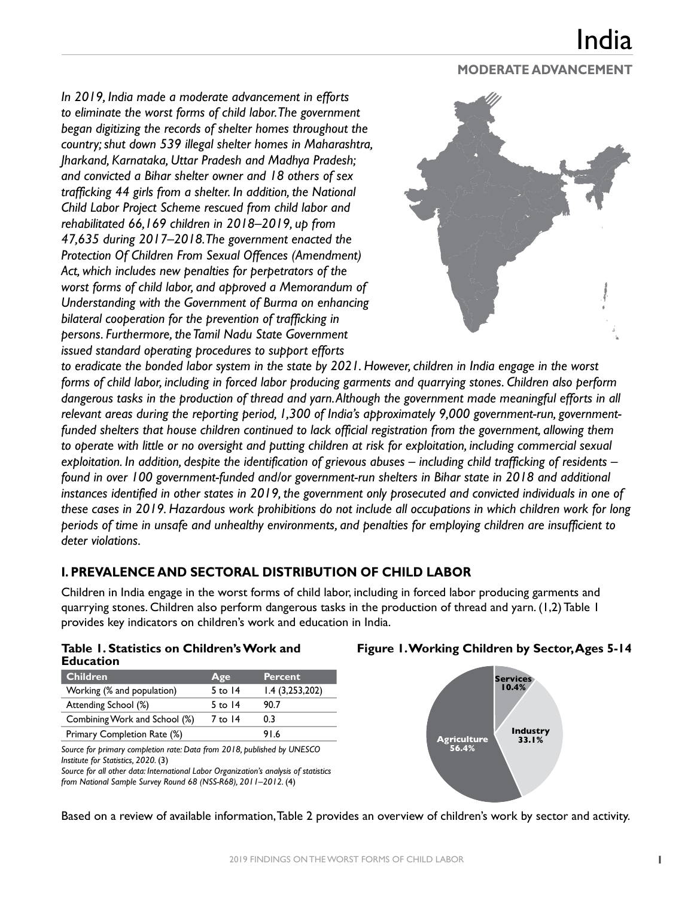## <u>India</u>

#### **MODERATE ADVANCEMENT**

*In 2019, India made a moderate advancement in efforts to eliminate the worst forms of child labor. The government began digitizing the records of shelter homes throughout the country; shut down 539 illegal shelter homes in Maharashtra, Jharkand, Karnataka, Uttar Pradesh and Madhya Pradesh; and convicted a Bihar shelter owner and 18 others of sex trafficking 44 girls from a shelter. In addition, the National Child Labor Project Scheme rescued from child labor and rehabilitated 66,169 children in 2018–2019, up from 47,635 during 2017–2018. The government enacted the Protection Of Children From Sexual Offences (Amendment) Act, which includes new penalties for perpetrators of the worst forms of child labor, and approved a Memorandum of Understanding with the Government of Burma on enhancing bilateral cooperation for the prevention of trafficking in persons. Furthermore, the Tamil Nadu State Government issued standard operating procedures to support efforts* 



*to eradicate the bonded labor system in the state by 2021. However, children in India engage in the worst forms of child labor, including in forced labor producing garments and quarrying stones. Children also perform dangerous tasks in the production of thread and yarn. Although the government made meaningful efforts in all relevant areas during the reporting period, 1,300 of India's approximately 9,000 government-run, governmentfunded shelters that house children continued to lack official registration from the government, allowing them*  to operate with little or no oversight and putting children at risk for exploitation, including commercial sexual *exploitation. In addition, despite the identification of grievous abuses – including child trafficking of residents – found in over 100 government-funded and/or government-run shelters in Bihar state in 2018 and additional instances identified in other states in 2019, the government only prosecuted and convicted individuals in one of these cases in 2019. Hazardous work prohibitions do not include all occupations in which children work for long periods of time in unsafe and unhealthy environments, and penalties for employing children are insufficient to deter violations.*

#### **I. PREVALENCE AND SECTORAL DISTRIBUTION OF CHILD LABOR**

Children in India engage in the worst forms of child labor, including in forced labor producing garments and quarrying stones. Children also perform dangerous tasks in the production of thread and yarn. (1,2) Table 1 provides key indicators on children's work and education in India.

|                  | Table 1. Statistics on Children's Work and |
|------------------|--------------------------------------------|
| <b>Education</b> |                                            |

| <b>Children</b>               | Age       | <b>Percent</b> |
|-------------------------------|-----------|----------------|
| Working (% and population)    | 5 to $14$ | 1.4(3,253,202) |
| Attending School (%)          | $5$ to 14 | 90.7           |
| Combining Work and School (%) | 7 to 14   | 0.3            |
| Primary Completion Rate (%)   |           | 916            |
|                               |           |                |

*Source for primary completion rate: Data from 2018, published by UNESCO Institute for Statistics, 2020.* (3)

*Source for all other data: International Labor Organization's analysis of statistics from National Sample Survey Round 68 (NSS-R68), 2011–2012.* (4)

#### **Figure 1. Working Children by Sector, Ages 5-14**



Based on a review of available information, Table 2 provides an overview of children's work by sector and activity.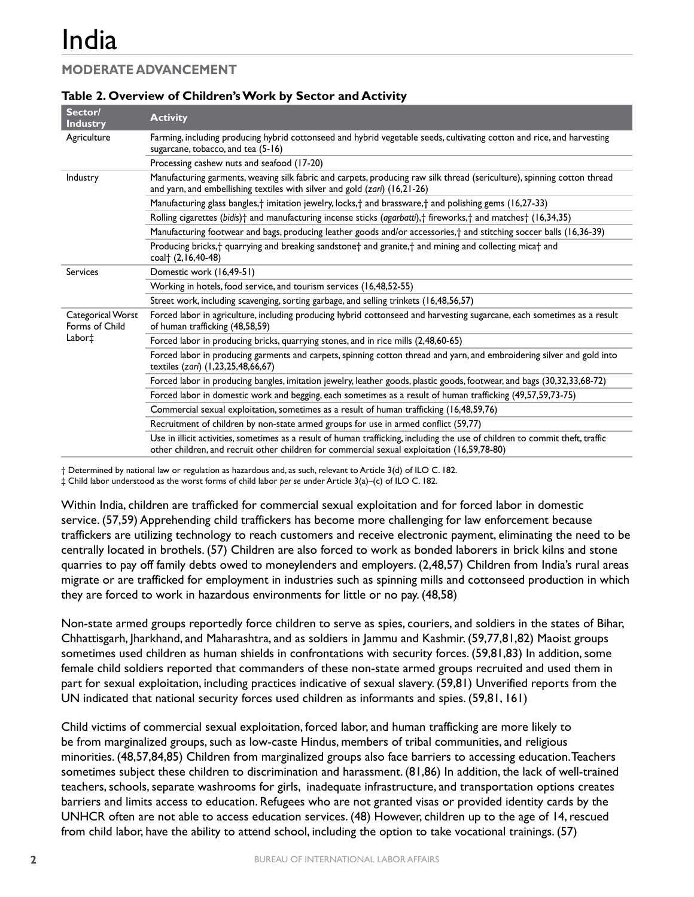### **MODERATE ADVANCEMENT**

| Sector/<br><b>Industry</b>          | <b>Activity</b>                                                                                                                                                                                                              |
|-------------------------------------|------------------------------------------------------------------------------------------------------------------------------------------------------------------------------------------------------------------------------|
| Agriculture                         | Farming, including producing hybrid cottonseed and hybrid vegetable seeds, cultivating cotton and rice, and harvesting<br>sugarcane, tobacco, and tea (5-16)                                                                 |
|                                     | Processing cashew nuts and seafood (17-20)                                                                                                                                                                                   |
| Industry                            | Manufacturing garments, weaving silk fabric and carpets, producing raw silk thread (sericulture), spinning cotton thread<br>and yarn, and embellishing textiles with silver and gold (zari) (16,21-26)                       |
|                                     | Manufacturing glass bangles, <sup>†</sup> imitation jewelry, locks, <sup>†</sup> and brassware,† and polishing gems (16,27-33)                                                                                               |
|                                     | Rolling cigarettes (bidis) <sup>+</sup> and manufacturing incense sticks (agarbatti), <sup>+</sup> fireworks, <sup>+</sup> and matches <sup>+</sup> (16,34,35)                                                               |
|                                     | Manufacturing footwear and bags, producing leather goods and/or accessories, <sup>+</sup> and stitching soccer balls (16,36-39)                                                                                              |
|                                     | Producing bricks, <sup>+</sup> quarrying and breaking sandstone <sup>+</sup> and granite, <sup>+</sup> and mining and collecting mica <sup>+</sup> and<br>coal <sup>+</sup> (2,16,40-48)                                     |
| <b>Services</b>                     | Domestic work (16,49-51)                                                                                                                                                                                                     |
|                                     | Working in hotels, food service, and tourism services (16,48,52-55)                                                                                                                                                          |
|                                     | Street work, including scavenging, sorting garbage, and selling trinkets (16,48,56,57)                                                                                                                                       |
| Categorical Worst<br>Forms of Child | Forced labor in agriculture, including producing hybrid cottonseed and harvesting sugarcane, each sometimes as a result<br>of human trafficking (48,58,59)                                                                   |
| Labor <sup>+</sup>                  | Forced labor in producing bricks, quarrying stones, and in rice mills (2,48,60-65)                                                                                                                                           |
|                                     | Forced labor in producing garments and carpets, spinning cotton thread and yarn, and embroidering silver and gold into<br>textiles (zari) (1,23,25,48,66,67)                                                                 |
|                                     | Forced labor in producing bangles, imitation jewelry, leather goods, plastic goods, footwear, and bags (30,32,33,68-72)                                                                                                      |
|                                     | Forced labor in domestic work and begging, each sometimes as a result of human trafficking (49,57,59,73-75)                                                                                                                  |
|                                     | Commercial sexual exploitation, sometimes as a result of human trafficking (16,48,59,76)                                                                                                                                     |
|                                     | Recruitment of children by non-state armed groups for use in armed conflict (59,77)                                                                                                                                          |
|                                     | Use in illicit activities, sometimes as a result of human trafficking, including the use of children to commit theft, traffic<br>other children, and recruit other children for commercial sexual exploitation (16,59,78-80) |

#### **Table 2. Overview of Children's Work by Sector and Activity**

† Determined by national law or regulation as hazardous and, as such, relevant to Article 3(d) of ILO C. 182.

‡ Child labor understood as the worst forms of child labor *per se* under Article 3(a)–(c) of ILO C. 182.

Within India, children are trafficked for commercial sexual exploitation and for forced labor in domestic service. (57,59) Apprehending child traffickers has become more challenging for law enforcement because traffickers are utilizing technology to reach customers and receive electronic payment, eliminating the need to be centrally located in brothels. (57) Children are also forced to work as bonded laborers in brick kilns and stone quarries to pay off family debts owed to moneylenders and employers. (2,48,57) Children from India's rural areas migrate or are trafficked for employment in industries such as spinning mills and cottonseed production in which they are forced to work in hazardous environments for little or no pay. (48,58)

Non-state armed groups reportedly force children to serve as spies, couriers, and soldiers in the states of Bihar, Chhattisgarh, Jharkhand, and Maharashtra, and as soldiers in Jammu and Kashmir. (59,77,81,82) Maoist groups sometimes used children as human shields in confrontations with security forces. (59,81,83) In addition, some female child soldiers reported that commanders of these non-state armed groups recruited and used them in part for sexual exploitation, including practices indicative of sexual slavery. (59,81) Unverified reports from the UN indicated that national security forces used children as informants and spies. (59,81, 161)

Child victims of commercial sexual exploitation, forced labor, and human trafficking are more likely to be from marginalized groups, such as low-caste Hindus, members of tribal communities, and religious minorities. (48,57,84,85) Children from marginalized groups also face barriers to accessing education. Teachers sometimes subject these children to discrimination and harassment. (81,86) In addition, the lack of well-trained teachers, schools, separate washrooms for girls, inadequate infrastructure, and transportation options creates barriers and limits access to education. Refugees who are not granted visas or provided identity cards by the UNHCR often are not able to access education services. (48) However, children up to the age of 14,rescued from child labor, have the ability to attend school, including the option to take vocational trainings. (57)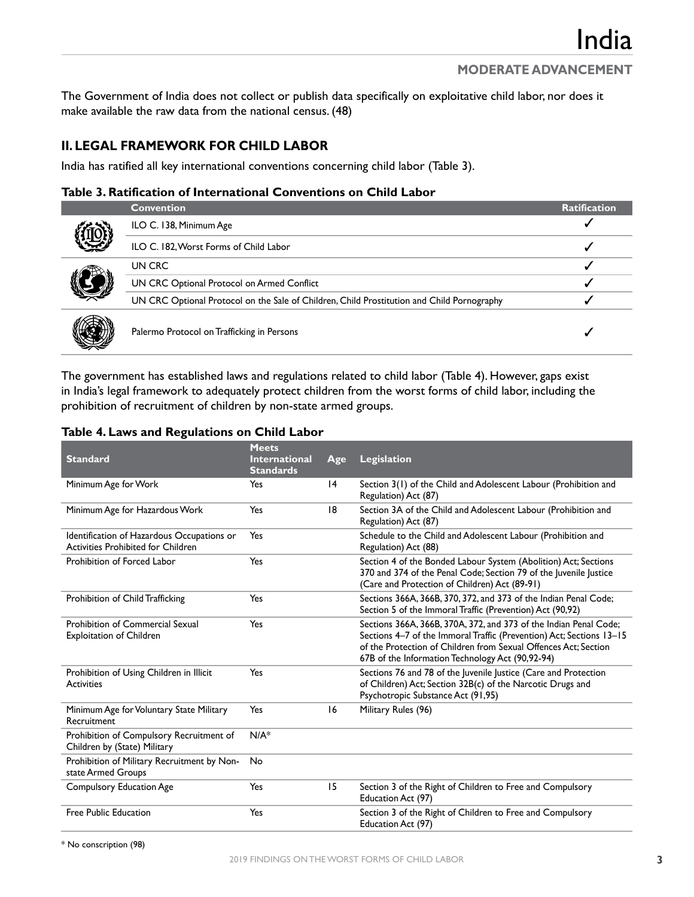The Government of India does not collect or publish data specifically on exploitative child labor, nor does it make available the raw data from the national census. (48)

#### **II. LEGAL FRAMEWORK FOR CHILD LABOR**

India has ratified all key international conventions concerning child labor (Table 3).

#### **Table 3. Ratification of International Conventions on Child Labor**

|  | <b>Convention</b>                                                                          | <b>Ratification</b> |
|--|--------------------------------------------------------------------------------------------|---------------------|
|  | ILO C. 138, Minimum Age                                                                    |                     |
|  | ILO C. 182, Worst Forms of Child Labor                                                     |                     |
|  | UN CRC                                                                                     |                     |
|  | UN CRC Optional Protocol on Armed Conflict                                                 |                     |
|  | UN CRC Optional Protocol on the Sale of Children, Child Prostitution and Child Pornography |                     |
|  | Palermo Protocol on Trafficking in Persons                                                 |                     |

The government has established laws and regulations related to child labor (Table 4). However, gaps exist in India's legal framework to adequately protect children from the worst forms of child labor, including the prohibition of recruitment of children by non-state armed groups.

| Table 4. Laws and Regulations on Child Labor |  |  |
|----------------------------------------------|--|--|
|----------------------------------------------|--|--|

| <b>Standard</b>                                                                  | <b>Meets</b><br><b>International</b><br><b>Standards</b> | Age | Legislation                                                                                                                                                                                                                                                      |
|----------------------------------------------------------------------------------|----------------------------------------------------------|-----|------------------------------------------------------------------------------------------------------------------------------------------------------------------------------------------------------------------------------------------------------------------|
| Minimum Age for Work                                                             | Yes                                                      | 4   | Section 3(1) of the Child and Adolescent Labour (Prohibition and<br>Regulation) Act (87)                                                                                                                                                                         |
| Minimum Age for Hazardous Work                                                   | Yes                                                      | 18  | Section 3A of the Child and Adolescent Labour (Prohibition and<br>Regulation) Act (87)                                                                                                                                                                           |
| Identification of Hazardous Occupations or<br>Activities Prohibited for Children | Yes                                                      |     | Schedule to the Child and Adolescent Labour (Prohibition and<br>Regulation) Act (88)                                                                                                                                                                             |
| Prohibition of Forced Labor                                                      | Yes                                                      |     | Section 4 of the Bonded Labour System (Abolition) Act; Sections<br>370 and 374 of the Penal Code; Section 79 of the Juvenile Justice<br>(Care and Protection of Children) Act (89-91)                                                                            |
| Prohibition of Child Trafficking                                                 | Yes                                                      |     | Sections 366A, 366B, 370, 372, and 373 of the Indian Penal Code;<br>Section 5 of the Immoral Traffic (Prevention) Act (90,92)                                                                                                                                    |
| Prohibition of Commercial Sexual<br><b>Exploitation of Children</b>              | Yes                                                      |     | Sections 366A, 366B, 370A, 372, and 373 of the Indian Penal Code;<br>Sections 4-7 of the Immoral Traffic (Prevention) Act; Sections 13-15<br>of the Protection of Children from Sexual Offences Act; Section<br>67B of the Information Technology Act (90,92-94) |
| Prohibition of Using Children in Illicit<br><b>Activities</b>                    | Yes                                                      |     | Sections 76 and 78 of the Juvenile Justice (Care and Protection<br>of Children) Act; Section 32B(c) of the Narcotic Drugs and<br>Psychotropic Substance Act (91,95)                                                                                              |
| Minimum Age for Voluntary State Military<br>Recruitment                          | Yes                                                      | 16  | Military Rules (96)                                                                                                                                                                                                                                              |
| Prohibition of Compulsory Recruitment of<br>Children by (State) Military         | $N/A^*$                                                  |     |                                                                                                                                                                                                                                                                  |
| Prohibition of Military Recruitment by Non-<br>state Armed Groups                | No                                                       |     |                                                                                                                                                                                                                                                                  |
| <b>Compulsory Education Age</b>                                                  | Yes                                                      | 15  | Section 3 of the Right of Children to Free and Compulsory<br>Education Act (97)                                                                                                                                                                                  |
| <b>Free Public Education</b>                                                     | Yes                                                      |     | Section 3 of the Right of Children to Free and Compulsory<br>Education Act (97)                                                                                                                                                                                  |

\* No conscription (98)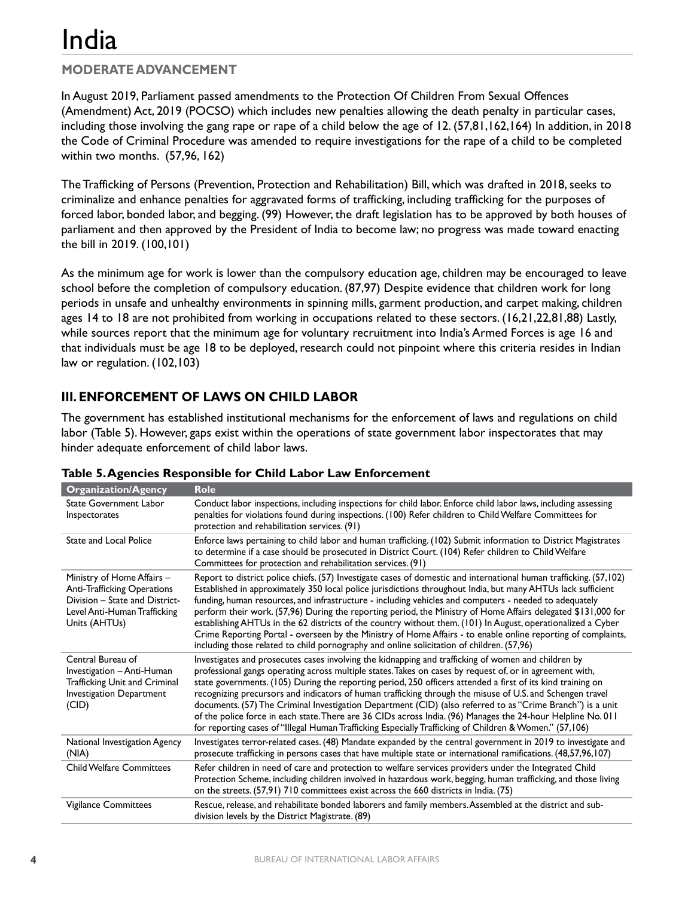### **MODERATE ADVANCEMENT**

In August 2019, Parliament passed amendments to the Protection Of Children From Sexual Offences (Amendment) Act, 2019 (POCSO) which includes new penalties allowing the death penalty in particular cases, including those involving the gang rape or rape of a child below the age of 12. (57,81,162,164) In addition, in 2018 the Code of Criminal Procedure was amended to require investigations for the rape of a child to be completed within two months. (57,96, 162)

The Trafficking of Persons (Prevention, Protection and Rehabilitation) Bill, which was drafted in 2018, seeks to criminalize and enhance penalties for aggravated forms of trafficking, including trafficking for the purposes of forced labor, bonded labor, and begging. (99) However, the draft legislation has to be approved by both houses of parliament and then approved by the President of India to become law; no progress was made toward enacting the bill in 2019. (100,101)

As the minimum age for work is lower than the compulsory education age, children may be encouraged to leave school before the completion of compulsory education. (87,97) Despite evidence that children work for long periods in unsafe and unhealthy environments in spinning mills, garment production, and carpet making, children ages 14 to 18 are not prohibited from working in occupations related to these sectors. (16,21,22,81,88) Lastly, while sources report that the minimum age for voluntary recruitment into India's Armed Forces is age 16 and that individuals must be age 18 to be deployed, research could not pinpoint where this criteria resides in Indian law or regulation. (102,103)

#### **III. ENFORCEMENT OF LAWS ON CHILD LABOR**

The government has established institutional mechanisms for the enforcement of laws and regulations on child labor (Table 5). However, gaps exist within the operations of state government labor inspectorates that may hinder adequate enforcement of child labor laws.

| <b>Organization/Agency</b>                                                                                                                   | <b>Role</b>                                                                                                                                                                                                                                                                                                                                                                                                                                                                                                                                                                                                                                                                                                                                                                                 |
|----------------------------------------------------------------------------------------------------------------------------------------------|---------------------------------------------------------------------------------------------------------------------------------------------------------------------------------------------------------------------------------------------------------------------------------------------------------------------------------------------------------------------------------------------------------------------------------------------------------------------------------------------------------------------------------------------------------------------------------------------------------------------------------------------------------------------------------------------------------------------------------------------------------------------------------------------|
| <b>State Government Labor</b><br>Inspectorates                                                                                               | Conduct labor inspections, including inspections for child labor. Enforce child labor laws, including assessing<br>penalties for violations found during inspections. (100) Refer children to Child Welfare Committees for<br>protection and rehabilitation services. (91)                                                                                                                                                                                                                                                                                                                                                                                                                                                                                                                  |
| <b>State and Local Police</b>                                                                                                                | Enforce laws pertaining to child labor and human trafficking. (102) Submit information to District Magistrates<br>to determine if a case should be prosecuted in District Court. (104) Refer children to Child Welfare<br>Committees for protection and rehabilitation services. (91)                                                                                                                                                                                                                                                                                                                                                                                                                                                                                                       |
| Ministry of Home Affairs -<br>Anti-Trafficking Operations<br>Division - State and District-<br>Level Anti-Human Trafficking<br>Units (AHTUs) | Report to district police chiefs. (57) Investigate cases of domestic and international human trafficking. (57,102)<br>Established in approximately 350 local police jurisdictions throughout India, but many AHTUs lack sufficient<br>funding, human resources, and infrastructure - including vehicles and computers - needed to adequately<br>perform their work. (57,96) During the reporting period, the Ministry of Home Affairs delegated \$131,000 for<br>establishing AHTUs in the 62 districts of the country without them. (101) In August, operationalized a Cyber<br>Crime Reporting Portal - overseen by the Ministry of Home Affairs - to enable online reporting of complaints,<br>including those related to child pornography and online solicitation of children. (57,96) |
| Central Bureau of<br>Investigation - Anti-Human<br>Trafficking Unit and Criminal<br>Investigation Department<br>(CID)                        | Investigates and prosecutes cases involving the kidnapping and trafficking of women and children by<br>professional gangs operating across multiple states. Takes on cases by request of, or in agreement with,<br>state governments. (105) During the reporting period, 250 officers attended a first of its kind training on<br>recognizing precursors and indicators of human trafficking through the misuse of U.S. and Schengen travel<br>documents. (57) The Criminal Investigation Department (CID) (also referred to as "Crime Branch") is a unit<br>of the police force in each state. There are 36 CIDs across India. (96) Manages the 24-hour Helpline No. 011<br>for reporting cases of "Illegal Human Trafficking Especially Trafficking of Children & Women." (57,106)        |
| National Investigation Agency<br>(NIA)                                                                                                       | Investigates terror-related cases. (48) Mandate expanded by the central government in 2019 to investigate and<br>prosecute trafficking in persons cases that have multiple state or international ramifications. (48,57,96,107)                                                                                                                                                                                                                                                                                                                                                                                                                                                                                                                                                             |
| <b>Child Welfare Committees</b>                                                                                                              | Refer children in need of care and protection to welfare services providers under the Integrated Child<br>Protection Scheme, including children involved in hazardous work, begging, human trafficking, and those living<br>on the streets. (57,91) 710 committees exist across the 660 districts in India. (75)                                                                                                                                                                                                                                                                                                                                                                                                                                                                            |
| Vigilance Committees                                                                                                                         | Rescue, release, and rehabilitate bonded laborers and family members. Assembled at the district and sub-<br>division levels by the District Magistrate. (89)                                                                                                                                                                                                                                                                                                                                                                                                                                                                                                                                                                                                                                |

| Table 5. Agencies Responsible for Child Labor Law Enforcement |  |  |
|---------------------------------------------------------------|--|--|
|                                                               |  |  |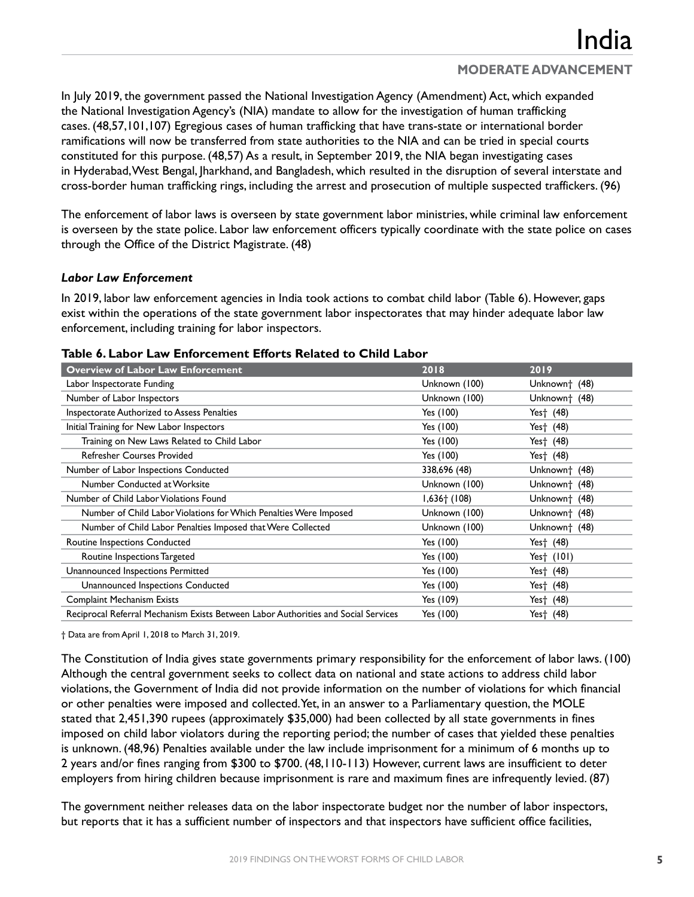In July 2019, the government passed the National Investigation Agency (Amendment) Act, which expanded the National Investigation Agency's (NIA) mandate to allow for the investigation of human trafficking cases. (48,57,101,107) Egregious cases of human trafficking that have trans-state or international border ramifications will now be transferred from state authorities to the NIA and can be tried in special courts constituted for this purpose. (48,57) As a result, in September 2019, the NIA began investigating cases in Hyderabad, West Bengal, Jharkhand, and Bangladesh, which resulted in the disruption of several interstate and cross-border human trafficking rings, including the arrest and prosecution of multiple suspected traffickers. (96)

The enforcement of labor laws is overseen by state government labor ministries, while criminal law enforcement is overseen by the state police. Labor law enforcement officers typically coordinate with the state police on cases through the Office of the District Magistrate. (48)

#### *Labor Law Enforcement*

In 2019, labor law enforcement agencies in India took actions to combat child labor (Table 6). However, gaps exist within the operations of the state government labor inspectorates that may hinder adequate labor law enforcement, including training for labor inspectors.

| <b>Overview of Labor Law Enforcement</b>                                           | 2018                       | 2019                      |
|------------------------------------------------------------------------------------|----------------------------|---------------------------|
| Labor Inspectorate Funding                                                         | Unknown (100)              | Unknown <sup>+</sup> (48) |
| Number of Labor Inspectors                                                         | Unknown (100)              | Unknown <sup>+</sup> (48) |
| Inspectorate Authorized to Assess Penalties                                        | Yes (100)                  | Yes† (48)                 |
| Initial Training for New Labor Inspectors                                          | Yes (100)                  | Yes† (48)                 |
| Training on New Laws Related to Child Labor                                        | Yes (100)                  | Yes† (48)                 |
| <b>Refresher Courses Provided</b>                                                  | Yes (100)                  | Yes† (48)                 |
| Number of Labor Inspections Conducted                                              | 338,696 (48)               | Unknown <sup>+</sup> (48) |
| Number Conducted at Worksite                                                       | Unknown (100)              | Unknown <sup>+</sup> (48) |
| Number of Child Labor Violations Found                                             | $1,636$ <sup>+</sup> (108) | Unknown <sup>+</sup> (48) |
| Number of Child Labor Violations for Which Penalties Were Imposed                  | Unknown (100)              | Unknown <sup>+</sup> (48) |
| Number of Child Labor Penalties Imposed that Were Collected                        | Unknown (100)              | Unknown <sup>+</sup> (48) |
| Routine Inspections Conducted                                                      | Yes (100)                  | Yes† (48)                 |
| Routine Inspections Targeted                                                       | Yes (100)                  | Yes† (101)                |
| Unannounced Inspections Permitted                                                  | Yes (100)                  | Yes† (48)                 |
| Unannounced Inspections Conducted                                                  | Yes (100)                  | Yes† (48)                 |
| <b>Complaint Mechanism Exists</b>                                                  | Yes (109)                  | Yes† (48)                 |
| Reciprocal Referral Mechanism Exists Between Labor Authorities and Social Services | Yes (100)                  | Yes† (48)                 |

#### **Table 6. Labor Law Enforcement Efforts Related to Child Labor**

† Data are from April 1, 2018 to March 31, 2019.

The Constitution of India gives state governments primary responsibility for the enforcement of labor laws. (100) Although the central government seeks to collect data on national and state actions to address child labor violations, the Government of India did not provide information on the number of violations for which financial or other penalties were imposed and collected. Yet, in an answer to a Parliamentary question, the MOLE stated that 2,451,390 rupees (approximately \$35,000) had been collected by all state governments in fines imposed on child labor violators during the reporting period; the number of cases that yielded these penalties is unknown. (48,96) Penalties available under the law include imprisonment for a minimum of 6 months up to 2 years and/or fines ranging from \$300 to \$700. (48,110-113) However, current laws are insufficient to deter employers from hiring children because imprisonment is rare and maximum fines are infrequently levied. (87)

The government neither releases data on the labor inspectorate budget nor the number of labor inspectors, but reports that it has a sufficient number of inspectors and that inspectors have sufficient office facilities,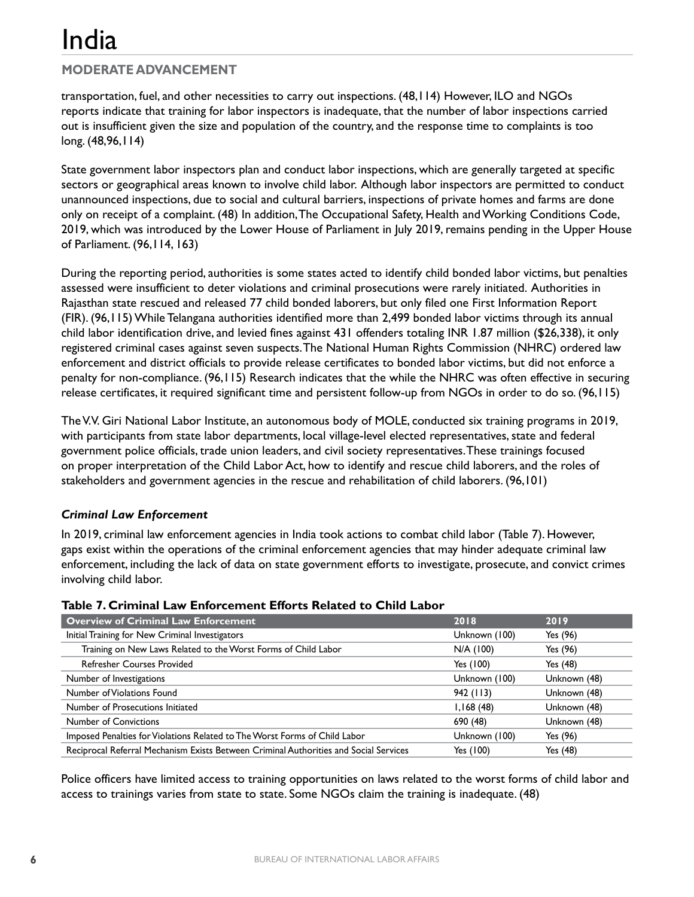#### **MODERATE ADVANCEMENT**

transportation, fuel, and other necessities to carry out inspections. (48,114) However, ILO and NGOs reports indicate that training for labor inspectors is inadequate, that the number of labor inspections carried out is insufficient given the size and population of the country, and the response time to complaints is too long. (48,96,114)

State government labor inspectors plan and conduct labor inspections, which are generally targeted at specific sectors or geographical areas known to involve child labor. Although labor inspectors are permitted to conduct unannounced inspections, due to social and cultural barriers, inspections of private homes and farms are done only on receipt of a complaint. (48) In addition, The Occupational Safety, Health and Working Conditions Code, 2019, which was introduced by the Lower House of Parliament in July 2019, remains pending in the Upper House of Parliament. (96,114, 163)

During the reporting period, authorities is some states acted to identify child bonded labor victims, but penalties assessed were insufficient to deter violations and criminal prosecutions were rarely initiated. Authorities in Rajasthan state rescued and released 77 child bonded laborers, but only filed one First Information Report (FIR). (96,115) While Telangana authorities identified more than 2,499 bonded labor victims through its annual child labor identification drive, and levied fines against 431 offenders totaling INR 1.87 million (\$26,338), it only registered criminal cases against seven suspects.The National Human Rights Commission (NHRC) ordered law enforcement and district officials to provide release certificates to bonded labor victims, but did not enforce a penalty for non-compliance. (96,115) Research indicates that the while the NHRC was often effective in securing release certificates, it required significant time and persistent follow-up from NGOs in order to do so. (96,115)

The V.V. Giri National Labor Institute, an autonomous body of MOLE, conducted six training programs in 2019, with participants from state labor departments, local village-level elected representatives, state and federal government police officials, trade union leaders, and civil society representatives.These trainings focused on proper interpretation of the Child Labor Act, how to identify and rescue child laborers, and the roles of stakeholders and government agencies in the rescue and rehabilitation of child laborers. (96,101)

#### *Criminal Law Enforcement*

In 2019, criminal law enforcement agencies in India took actions to combat child labor (Table 7). However, gaps exist within the operations of the criminal enforcement agencies that may hinder adequate criminal law enforcement, including the lack of data on state government efforts to investigate, prosecute, and convict crimes involving child labor.

| <b>Overview of Criminal Law Enforcement</b>                                           | 2018          | 2019         |
|---------------------------------------------------------------------------------------|---------------|--------------|
| Initial Training for New Criminal Investigators                                       | Unknown (100) | Yes (96)     |
| Training on New Laws Related to the Worst Forms of Child Labor                        | N/A (100)     | Yes (96)     |
| <b>Refresher Courses Provided</b>                                                     | Yes (100)     | Yes (48)     |
| Number of Investigations                                                              | Unknown (100) | Unknown (48) |
| Number of Violations Found                                                            | 942(113)      | Unknown (48) |
| Number of Prosecutions Initiated                                                      | 1,168(48)     | Unknown (48) |
| <b>Number of Convictions</b>                                                          | 690 (48)      | Unknown (48) |
| Imposed Penalties for Violations Related to The Worst Forms of Child Labor            | Unknown (100) | Yes (96)     |
| Reciprocal Referral Mechanism Exists Between Criminal Authorities and Social Services | Yes (100)     | Yes (48)     |

#### **Table 7. Criminal Law Enforcement Efforts Related to Child Labor**

Police officers have limited access to training opportunities on laws related to the worst forms of child labor and access to trainings varies from state to state. Some NGOs claim the training is inadequate. (48)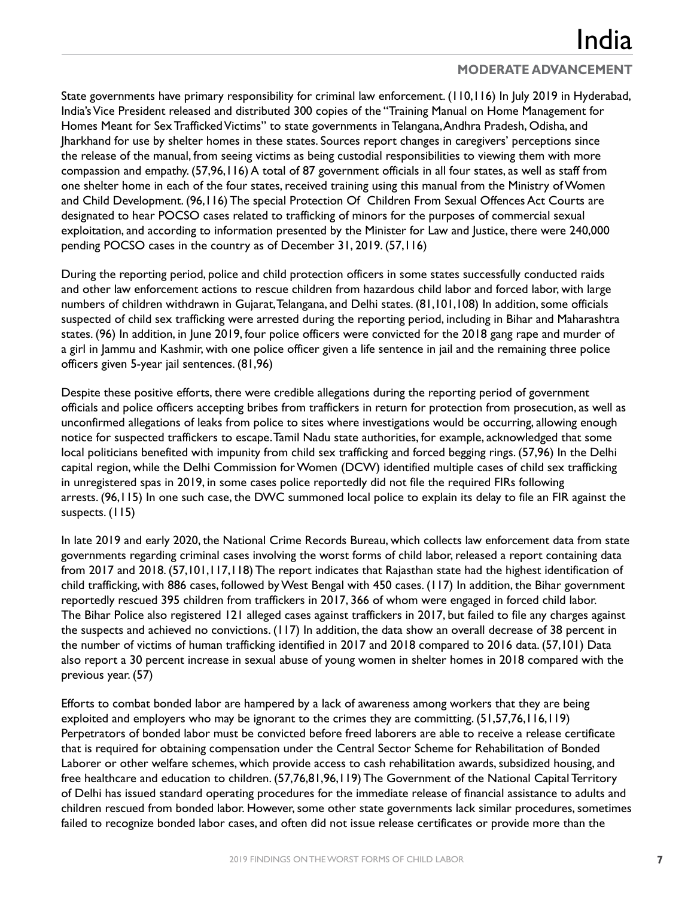State governments have primary responsibility for criminal law enforcement. (110,116) In July 2019 in Hyderabad, India's Vice President released and distributed 300 copies of the "Training Manual on Home Management for Homes Meant for Sex Trafficked Victims" to state governments in Telangana, Andhra Pradesh, Odisha, and Jharkhand for use by shelter homes in these states. Sources report changes in caregivers' perceptions since the release of the manual, from seeing victims as being custodial responsibilities to viewing them with more compassion and empathy. (57,96,116) A total of 87 government officials in all four states, as well as staff from one shelter home in each of the four states, received training using this manual from the Ministry of Women and Child Development. (96,116) The special Protection Of Children From Sexual Offences Act Courts are designated to hear POCSO cases related to trafficking of minors for the purposes of commercial sexual exploitation, and according to information presented by the Minister for Law and Justice, there were 240,000 pending POCSO cases in the country as of December 31, 2019. (57,116)

During the reporting period, police and child protection officers in some states successfully conducted raids and other law enforcement actions to rescue children from hazardous child labor and forced labor, with large numbers of children withdrawn in Gujarat, Telangana, and Delhi states. (81,101,108) In addition, some officials suspected of child sex trafficking were arrested during the reporting period, including in Bihar and Maharashtra states. (96) In addition, in June 2019, four police officers were convicted for the 2018 gang rape and murder of a girl in Jammu and Kashmir, with one police officer given a life sentence in jail and the remaining three police officers given 5-year jail sentences. (81,96)

Despite these positive efforts, there were credible allegations during the reporting period of government officials and police officers accepting bribes from traffickers in return for protection from prosecution, as well as unconfirmed allegations of leaks from police to sites where investigations would be occurring, allowing enough notice for suspected traffickers to escape.Tamil Nadu state authorities, for example, acknowledged that some local politicians benefited with impunity from child sex trafficking and forced begging rings. (57,96) In the Delhi capital region, while the Delhi Commission for Women (DCW) identified multiple cases of child sex trafficking in unregistered spas in 2019, in some cases police reportedly did not file the required FIRs following arrests. (96,115) In one such case, the DWC summoned local police to explain its delay to file an FIR against the suspects. (115)

In late 2019 and early 2020, the National Crime Records Bureau, which collects law enforcement data from state governments regarding criminal cases involving the worst forms of child labor, released a report containing data from 2017 and 2018. (57,101,117,118) The report indicates that Rajasthan state had the highest identification of child trafficking, with 886 cases, followed by West Bengal with 450 cases. (117) In addition, the Bihar government reportedly rescued 395 children from traffickers in 2017, 366 of whom were engaged in forced child labor. The Bihar Police also registered 121 alleged cases against traffickers in 2017, but failed to file any charges against the suspects and achieved no convictions. (117) In addition, the data show an overall decrease of 38 percent in the number of victims of human trafficking identified in 2017 and 2018 compared to 2016 data. (57,101) Data also report a 30 percent increase in sexual abuse of young women in shelter homes in 2018 compared with the previous year. (57)

Efforts to combat bonded labor are hampered by a lack of awareness among workers that they are being exploited and employers who may be ignorant to the crimes they are committing. (51,57,76,116,119) Perpetrators of bonded labor must be convicted before freed laborers are able to receive a release certificate that is required for obtaining compensation under the Central Sector Scheme for Rehabilitation of Bonded Laborer or other welfare schemes, which provide access to cash rehabilitation awards, subsidized housing, and free healthcare and education to children. (57,76,81,96,119) The Government of the National Capital Territory of Delhi has issued standard operating procedures for the immediate release of financial assistance to adults and children rescued from bonded labor. However, some other state governments lack similar procedures, sometimes failed to recognize bonded labor cases, and often did not issue release certificates or provide more than the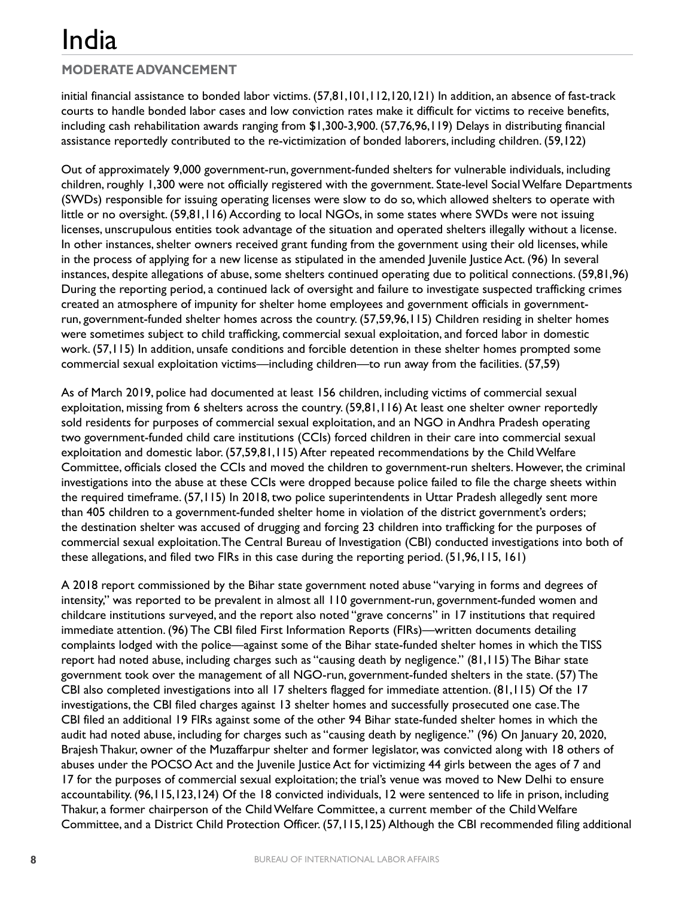### **MODERATE ADVANCEMENT**

initial financial assistance to bonded labor victims. (57,81,101,112,120,121) In addition, an absence of fast-track courts to handle bonded labor cases and low conviction rates make it difficult for victims to receive benefits, including cash rehabilitation awards ranging from \$1,300-3,900. (57,76,96,119) Delays in distributing financial assistance reportedly contributed to the re-victimization of bonded laborers, including children. (59,122)

Out of approximately 9,000 government-run, government-funded shelters for vulnerable individuals, including children, roughly 1,300 were not officially registered with the government. State-level Social Welfare Departments (SWDs) responsible for issuing operating licenses were slow to do so, which allowed shelters to operate with little or no oversight. (59,81,116) According to local NGOs, in some states where SWDs were not issuing licenses, unscrupulous entities took advantage of the situation and operated shelters illegally without a license. In other instances, shelter owners received grant funding from the government using their old licenses, while in the process of applying for a new license as stipulated in the amended Juvenile Justice Act. (96) In several instances, despite allegations of abuse, some shelters continued operating due to political connections. (59,81,96) During the reporting period, a continued lack of oversight and failure to investigate suspected trafficking crimes created an atmosphere of impunity for shelter home employees and government officials in governmentrun, government-funded shelter homes across the country. (57,59,96,115) Children residing in shelter homes were sometimes subject to child trafficking, commercial sexual exploitation, and forced labor in domestic work. (57,115) In addition, unsafe conditions and forcible detention in these shelter homes prompted some commercial sexual exploitation victims—including children—to run away from the facilities. (57,59)

As of March 2019, police had documented at least 156 children, including victims of commercial sexual exploitation, missing from 6 shelters across the country. (59,81,116) At least one shelter owner reportedly sold residents for purposes of commercial sexual exploitation, and an NGO in Andhra Pradesh operating two government-funded child care institutions (CCIs) forced children in their care into commercial sexual exploitation and domestic labor. (57,59,81,115) After repeated recommendations by the Child Welfare Committee, officials closed the CCIs and moved the children to government-run shelters. However, the criminal investigations into the abuse at these CCIs were dropped because police failed to file the charge sheets within the required timeframe. (57,115) In 2018, two police superintendents in Uttar Pradesh allegedly sent more than 405 children to a government-funded shelter home in violation of the district government's orders; the destination shelter was accused of drugging and forcing 23 children into trafficking for the purposes of commercial sexual exploitation. The Central Bureau of Investigation (CBI) conducted investigations into both of these allegations, and filed two FIRs in this case during the reporting period. (51,96,115, 161)

A 2018 report commissioned by the Bihar state government noted abuse "varying in forms and degrees of intensity," was reported to be prevalent in almost all 110 government-run, government-funded women and childcare institutions surveyed, and the report also noted "grave concerns" in 17 institutions that required immediate attention. (96) The CBI filed First Information Reports (FIRs)—written documents detailing complaints lodged with the police—against some of the Bihar state-funded shelter homes in which the TISS report had noted abuse, including charges such as "causing death by negligence." (81,115) The Bihar state government took over the management of all NGO-run, government-funded shelters in the state. (57) The CBI also completed investigations into all 17 shelters flagged for immediate attention. (81,115) Of the 17 investigations, the CBI filed charges against 13 shelter homes and successfully prosecuted one case. The CBI filed an additional 19 FIRs against some of the other 94 Bihar state-funded shelter homes in which the audit had noted abuse, including for charges such as "causing death by negligence." (96) On January 20, 2020, Brajesh Thakur, owner of the Muzaffarpur shelter and former legislator, was convicted along with 18 others of abuses under the POCSO Act and the Juvenile Justice Act for victimizing 44 girls between the ages of 7 and 17 for the purposes of commercial sexual exploitation; the trial's venue was moved to New Delhi to ensure accountability. (96,115,123,124) Of the 18 convicted individuals, 12 were sentenced to life in prison, including Thakur, a former chairperson of the Child Welfare Committee, a current member of the Child Welfare Committee, and a District Child Protection Officer. (57,115,125) Although the CBI recommended filing additional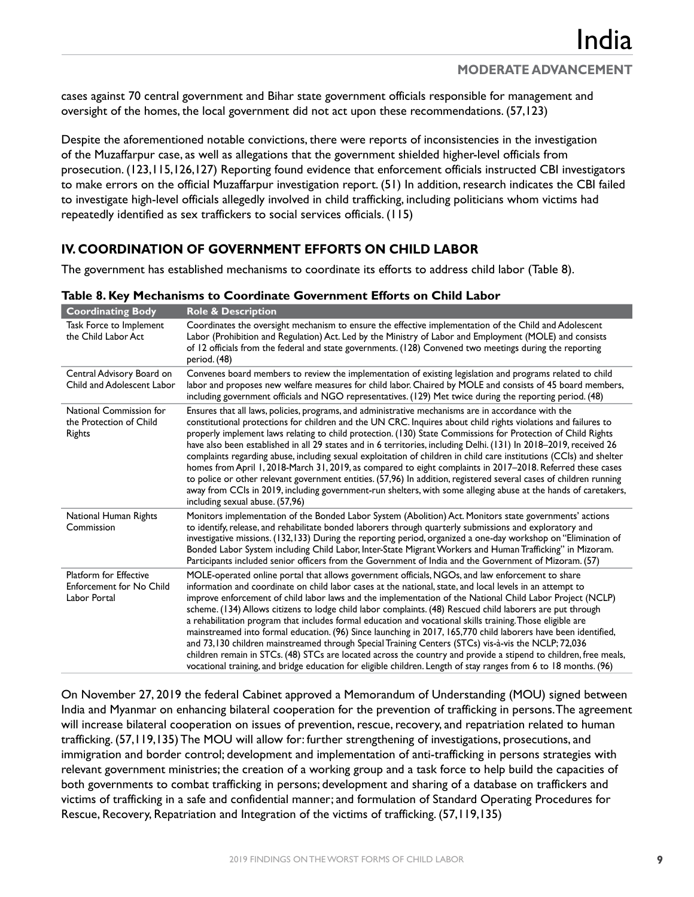cases against 70 central government and Bihar state government officials responsible for management and oversight of the homes, the local government did not act upon these recommendations. (57,123)

Despite the aforementioned notable convictions, there were reports of inconsistencies in the investigation of the Muzaffarpur case, as well as allegations that the government shielded higher-level officials from prosecution. (123,115,126,127) Reporting found evidence that enforcement officials instructed CBI investigators to make errors on the official Muzaffarpur investigation report. (51) In addition, research indicates the CBI failed to investigate high-level officials allegedly involved in child trafficking, including politicians whom victims had repeatedly identified as sex traffickers to social services officials. (115)

### **IV. COORDINATION OF GOVERNMENT EFFORTS ON CHILD LABOR**

The government has established mechanisms to coordinate its efforts to address child labor (Table 8).

| <b>Coordinating Body</b>                                                         | <b>Role &amp; Description</b>                                                                                                                                                                                                                                                                                                                                                                                                                                                                                                                                                                                                                                                                                                                                                                                                                                                                                                                                                                                           |
|----------------------------------------------------------------------------------|-------------------------------------------------------------------------------------------------------------------------------------------------------------------------------------------------------------------------------------------------------------------------------------------------------------------------------------------------------------------------------------------------------------------------------------------------------------------------------------------------------------------------------------------------------------------------------------------------------------------------------------------------------------------------------------------------------------------------------------------------------------------------------------------------------------------------------------------------------------------------------------------------------------------------------------------------------------------------------------------------------------------------|
| Task Force to Implement<br>the Child Labor Act                                   | Coordinates the oversight mechanism to ensure the effective implementation of the Child and Adolescent<br>Labor (Prohibition and Regulation) Act. Led by the Ministry of Labor and Employment (MOLE) and consists<br>of 12 officials from the federal and state governments. (128) Convened two meetings during the reporting<br>period. (48)                                                                                                                                                                                                                                                                                                                                                                                                                                                                                                                                                                                                                                                                           |
| Central Advisory Board on<br>Child and Adolescent Labor                          | Convenes board members to review the implementation of existing legislation and programs related to child<br>labor and proposes new welfare measures for child labor. Chaired by MOLE and consists of 45 board members,<br>including government officials and NGO representatives. (129) Met twice during the reporting period. (48)                                                                                                                                                                                                                                                                                                                                                                                                                                                                                                                                                                                                                                                                                    |
| National Commission for<br>the Protection of Child<br>Rights                     | Ensures that all laws, policies, programs, and administrative mechanisms are in accordance with the<br>constitutional protections for children and the UN CRC. Inquires about child rights violations and failures to<br>properly implement laws relating to child protection. (130) State Commissions for Protection of Child Rights<br>have also been established in all 29 states and in 6 territories, including Delhi. (131) In 2018-2019, received 26<br>complaints regarding abuse, including sexual exploitation of children in child care institutions (CCIs) and shelter<br>homes from April 1, 2018-March 31, 2019, as compared to eight complaints in 2017–2018. Referred these cases<br>to police or other relevant government entities. (57,96) In addition, registered several cases of children running<br>away from CCIs in 2019, including government-run shelters, with some alleging abuse at the hands of caretakers,<br>including sexual abuse. (57,96)                                           |
| National Human Rights<br>Commission                                              | Monitors implementation of the Bonded Labor System (Abolition) Act. Monitors state governments' actions<br>to identify, release, and rehabilitate bonded laborers through quarterly submissions and exploratory and<br>investigative missions. (132,133) During the reporting period, organized a one-day workshop on "Elimination of<br>Bonded Labor System including Child Labor, Inter-State Migrant Workers and Human Trafficking" in Mizoram.<br>Participants included senior officers from the Government of India and the Government of Mizoram. (57)                                                                                                                                                                                                                                                                                                                                                                                                                                                            |
| <b>Platform for Effective</b><br><b>Enforcement for No Child</b><br>Labor Portal | MOLE-operated online portal that allows government officials, NGOs, and law enforcement to share<br>information and coordinate on child labor cases at the national, state, and local levels in an attempt to<br>improve enforcement of child labor laws and the implementation of the National Child Labor Project (NCLP)<br>scheme. (134) Allows citizens to lodge child labor complaints. (48) Rescued child laborers are put through<br>a rehabilitation program that includes formal education and vocational skills training. Those eligible are<br>mainstreamed into formal education. (96) Since launching in 2017, 165,770 child laborers have been identified,<br>and 73,130 children mainstreamed through Special Training Centers (STCs) vis-à-vis the NCLP; 72,036<br>children remain in STCs. (48) STCs are located across the country and provide a stipend to children, free meals,<br>vocational training, and bridge education for eligible children. Length of stay ranges from 6 to 18 months. (96) |

**Table 8. Key Mechanisms to Coordinate Government Efforts on Child Labor**

On November 27, 2019 the federal Cabinet approved a Memorandum of Understanding (MOU) signed between India and Myanmar on enhancing bilateral cooperation for the prevention of trafficking in persons. The agreement will increase bilateral cooperation on issues of prevention, rescue, recovery, and repatriation related to human trafficking. (57,119,135) The MOU will allow for: further strengthening of investigations, prosecutions, and immigration and border control; development and implementation of anti-trafficking in persons strategies with relevant government ministries; the creation of a working group and a task force to help build the capacities of both governments to combat trafficking in persons; development and sharing of a database on traffickers and victims of trafficking in a safe and confidential manner; and formulation of Standard Operating Procedures for Rescue, Recovery, Repatriation and Integration of the victims of trafficking. (57,119,135)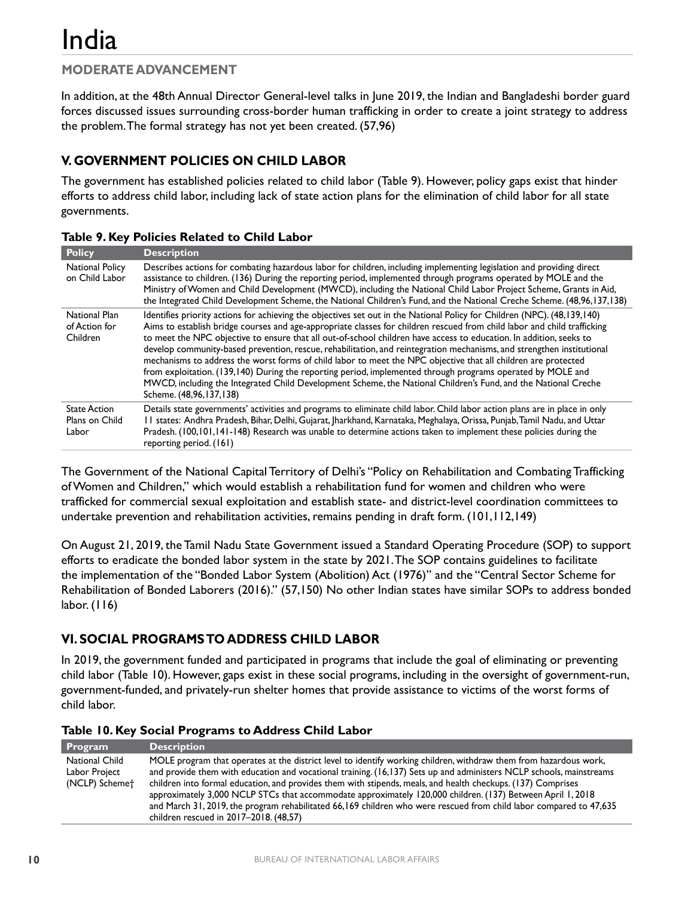In addition, at the 48th Annual Director General-level talks in June 2019, the Indian and Bangladeshi border guard forces discussed issues surrounding cross-border human trafficking in order to create a joint strategy to address the problem. The formal strategy has not yet been created. (57,96)

#### **V. GOVERNMENT POLICIES ON CHILD LABOR**

The government has established policies related to child labor (Table 9). However, policy gaps exist that hinder efforts to address child labor, including lack of state action plans for the elimination of child labor for all state governments.

| <b>Policy</b>                                  | <b>Description</b>                                                                                                                                                                                                                                                                                                                                                                                                                                                                                                                                                                                                                                                                                                                                                                                                                                                                  |
|------------------------------------------------|-------------------------------------------------------------------------------------------------------------------------------------------------------------------------------------------------------------------------------------------------------------------------------------------------------------------------------------------------------------------------------------------------------------------------------------------------------------------------------------------------------------------------------------------------------------------------------------------------------------------------------------------------------------------------------------------------------------------------------------------------------------------------------------------------------------------------------------------------------------------------------------|
| <b>National Policy</b><br>on Child Labor       | Describes actions for combating hazardous labor for children, including implementing legislation and providing direct<br>assistance to children. (136) During the reporting period, implemented through programs operated by MOLE and the<br>Ministry of Women and Child Development (MWCD), including the National Child Labor Project Scheme, Grants in Aid,<br>the Integrated Child Development Scheme, the National Children's Fund, and the National Creche Scheme. (48,96,137,138)                                                                                                                                                                                                                                                                                                                                                                                            |
| National Plan<br>of Action for<br>Children     | Identifies priority actions for achieving the objectives set out in the National Policy for Children (NPC). (48,139,140)<br>Aims to establish bridge courses and age-appropriate classes for children rescued from child labor and child trafficking<br>to meet the NPC objective to ensure that all out-of-school children have access to education. In addition, seeks to<br>develop community-based prevention, rescue, rehabilitation, and reintegration mechanisms, and strengthen institutional<br>mechanisms to address the worst forms of child labor to meet the NPC objective that all children are protected<br>from exploitation. (139,140) During the reporting period, implemented through programs operated by MOLE and<br>MWCD, including the Integrated Child Development Scheme, the National Children's Fund, and the National Creche<br>Scheme. (48,96,137,138) |
| <b>State Action</b><br>Plans on Child<br>Labor | Details state governments' activities and programs to eliminate child labor. Child labor action plans are in place in only<br>II states: Andhra Pradesh, Bihar, Delhi, Gujarat, Jharkhand, Karnataka, Meghalaya, Orissa, Punjab, Tamil Nadu, and Uttar<br>Pradesh. (100,101,141-148) Research was unable to determine actions taken to implement these policies during the<br>reporting period. (161)                                                                                                                                                                                                                                                                                                                                                                                                                                                                               |

#### **Table 9. Key Policies Related to Child Labor**

The Government of the National Capital Territory of Delhi's "Policy on Rehabilitation and Combating Trafficking of Women and Children," which would establish a rehabilitation fund for women and children who were trafficked for commercial sexual exploitation and establish state- and district-level coordination committees to undertake prevention and rehabilitation activities, remains pending in draft form. (101,112,149)

On August 21, 2019, the Tamil Nadu State Government issued a Standard Operating Procedure (SOP) to support efforts to eradicate the bonded labor system in the state by 2021. The SOP contains guidelines to facilitate the implementation of the "Bonded Labor System (Abolition) Act (1976)" and the "Central Sector Scheme for Rehabilitation of Bonded Laborers (2016)." (57,150) No other Indian states have similar SOPs to address bonded labor. (116)

#### **VI. SOCIAL PROGRAMS TO ADDRESS CHILD LABOR**

In 2019, the government funded and participated in programs that include the goal of eliminating or preventing child labor (Table 10). However, gaps exist in these social programs, including in the oversight of government-run, government-funded, and privately-run shelter homes that provide assistance to victims of the worst forms of child labor.

|  |  |  |  |  | Table 10. Key Social Programs to Address Child Labor |  |  |
|--|--|--|--|--|------------------------------------------------------|--|--|
|--|--|--|--|--|------------------------------------------------------|--|--|

| Program                                           | <b>Description</b>                                                                                                                                                                                                                                                                                                                                                                                                                                                                                                                                                                                                                     |
|---------------------------------------------------|----------------------------------------------------------------------------------------------------------------------------------------------------------------------------------------------------------------------------------------------------------------------------------------------------------------------------------------------------------------------------------------------------------------------------------------------------------------------------------------------------------------------------------------------------------------------------------------------------------------------------------------|
| National Child<br>Labor Project<br>(NCLP) Schemet | MOLE program that operates at the district level to identify working children, withdraw them from hazardous work,<br>and provide them with education and vocational training. (16,137) Sets up and administers NCLP schools, mainstreams<br>children into formal education, and provides them with stipends, meals, and health checkups. (137) Comprises<br>approximately 3,000 NCLP STCs that accommodate approximately 120,000 children. (137) Between April 1, 2018<br>and March 31, 2019, the program rehabilitated 66,169 children who were rescued from child labor compared to 47,635<br>children rescued in 2017-2018. (48,57) |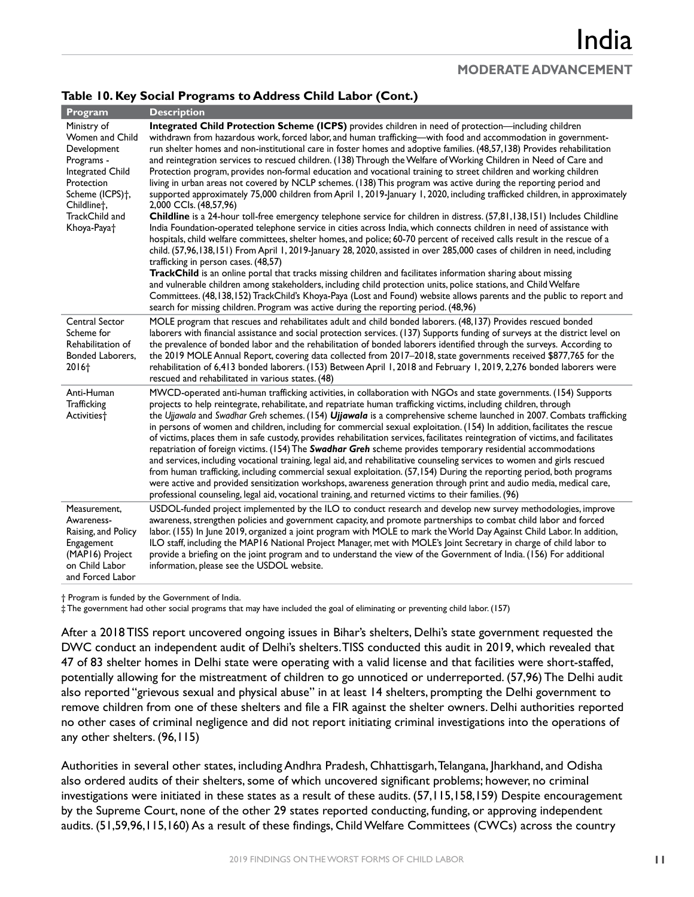#### **Table 10. Key Social Programs to Address Child Labor (Cont.)**

| Program                                                                                                                                                                                   | <b>Description</b>                                                                                                                                                                                                                                                                                                                                                                                                                                                                                                                                                                                                                                                                                                                                                                                                                                                                                                                                                                                                                                                                                                                                                                                                                                                                                                                                                                                                                                                                                                                                                                                                                                                                                                                                                                                                                                                                     |
|-------------------------------------------------------------------------------------------------------------------------------------------------------------------------------------------|----------------------------------------------------------------------------------------------------------------------------------------------------------------------------------------------------------------------------------------------------------------------------------------------------------------------------------------------------------------------------------------------------------------------------------------------------------------------------------------------------------------------------------------------------------------------------------------------------------------------------------------------------------------------------------------------------------------------------------------------------------------------------------------------------------------------------------------------------------------------------------------------------------------------------------------------------------------------------------------------------------------------------------------------------------------------------------------------------------------------------------------------------------------------------------------------------------------------------------------------------------------------------------------------------------------------------------------------------------------------------------------------------------------------------------------------------------------------------------------------------------------------------------------------------------------------------------------------------------------------------------------------------------------------------------------------------------------------------------------------------------------------------------------------------------------------------------------------------------------------------------------|
| Ministry of<br>Women and Child<br>Development<br>Programs -<br>Integrated Child<br>Protection<br>Scheme (ICPS) <sup>+</sup> ,<br>Childlinet,<br>TrackChild and<br>Khoya-Paya <sup>+</sup> | Integrated Child Protection Scheme (ICPS) provides children in need of protection—including children<br>withdrawn from hazardous work, forced labor, and human trafficking—with food and accommodation in government-<br>run shelter homes and non-institutional care in foster homes and adoptive families. (48,57,138) Provides rehabilitation<br>and reintegration services to rescued children. (138) Through the Welfare of Working Children in Need of Care and<br>Protection program, provides non-formal education and vocational training to street children and working children<br>living in urban areas not covered by NCLP schemes. (138) This program was active during the reporting period and<br>supported approximately 75,000 children from April 1, 2019-January 1, 2020, including trafficked children, in approximately<br>2,000 CCIs. (48,57,96)<br>Childline is a 24-hour toll-free emergency telephone service for children in distress. (57,81,138,151) Includes Childline<br>India Foundation-operated telephone service in cities across India, which connects children in need of assistance with<br>hospitals, child welfare committees, shelter homes, and police; 60-70 percent of received calls result in the rescue of a<br>child. (57,96,138,151) From April 1, 2019-January 28, 2020, assisted in over 285,000 cases of children in need, including<br>trafficking in person cases. (48,57)<br>TrackChild is an online portal that tracks missing children and facilitates information sharing about missing<br>and vulnerable children among stakeholders, including child protection units, police stations, and Child Welfare<br>Committees. (48,138,152) TrackChild's Khoya-Paya (Lost and Found) website allows parents and the public to report and<br>search for missing children. Program was active during the reporting period. (48,96) |
| Central Sector<br>Scheme for<br>Rehabilitation of<br>Bonded Laborers,<br>2016+                                                                                                            | MOLE program that rescues and rehabilitates adult and child bonded laborers. (48,137) Provides rescued bonded<br>laborers with financial assistance and social protection services. (137) Supports funding of surveys at the district level on<br>the prevalence of bonded labor and the rehabilitation of bonded laborers identified through the surveys. According to<br>the 2019 MOLE Annual Report, covering data collected from 2017–2018, state governments received \$877,765 for the<br>rehabilitation of 6,413 bonded laborers. (153) Between April 1, 2018 and February 1, 2019, 2,276 bonded laborers were<br>rescued and rehabilitated in various states. (48)                                                                                                                                                                                                                                                                                                                                                                                                                                                                                                                                                                                                                                                                                                                                                                                                                                                                                                                                                                                                                                                                                                                                                                                                             |
| Anti-Human<br>Trafficking<br>Activities <sup>+</sup>                                                                                                                                      | MWCD-operated anti-human trafficking activities, in collaboration with NGOs and state governments. (154) Supports<br>projects to help reintegrate, rehabilitate, and repatriate human trafficking victims, including children, through<br>the Ujjawala and Swadhar Greh schemes. (154) Ujjawala is a comprehensive scheme launched in 2007. Combats trafficking<br>in persons of women and children, including for commercial sexual exploitation. (154) In addition, facilitates the rescue<br>of victims, places them in safe custody, provides rehabilitation services, facilitates reintegration of victims, and facilitates<br>repatriation of foreign victims. (154) The Swadhar Greh scheme provides temporary residential accommodations<br>and services, including vocational training, legal aid, and rehabilitative counseling services to women and girls rescued<br>from human trafficking, including commercial sexual exploitation. (57,154) During the reporting period, both programs<br>were active and provided sensitization workshops, awareness generation through print and audio media, medical care,<br>professional counseling, legal aid, vocational training, and returned victims to their families. (96)                                                                                                                                                                                                                                                                                                                                                                                                                                                                                                                                                                                                                                                 |
| Measurement,<br>Awareness-<br>Raising, and Policy<br>Engagement<br>(MAP16) Project<br>on Child Labor<br>and Forced Labor                                                                  | USDOL-funded project implemented by the ILO to conduct research and develop new survey methodologies, improve<br>awareness, strengthen policies and government capacity, and promote partnerships to combat child labor and forced<br>labor. (155) In June 2019, organized a joint program with MOLE to mark the World Day Against Child Labor. In addition,<br>ILO staff, including the MAP16 National Project Manager, met with MOLE's Joint Secretary in charge of child labor to<br>provide a briefing on the joint program and to understand the view of the Government of India. (156) For additional<br>information, please see the USDOL website.                                                                                                                                                                                                                                                                                                                                                                                                                                                                                                                                                                                                                                                                                                                                                                                                                                                                                                                                                                                                                                                                                                                                                                                                                              |

† Program is funded by the Government of India.

‡ The government had other social programs that may have included the goal of eliminating or preventing child labor. (157)

After a 2018 TISS report uncovered ongoing issues in Bihar's shelters, Delhi's state government requested the DWC conduct an independent audit of Delhi's shelters. TISS conducted this audit in 2019, which revealed that 47 of 83 shelter homes in Delhi state were operating with a valid license and that facilities were short-staffed, potentially allowing for the mistreatment of children to go unnoticed or underreported. (57,96) The Delhi audit also reported "grievous sexual and physical abuse" in at least 14 shelters, prompting the Delhi government to remove children from one of these shelters and file a FIR against the shelter owners. Delhi authorities reported no other cases of criminal negligence and did not report initiating criminal investigations into the operations of any other shelters. (96,115)

Authorities in several other states, including Andhra Pradesh, Chhattisgarh, Telangana, Jharkhand, and Odisha also ordered audits of their shelters, some of which uncovered significant problems; however, no criminal investigations were initiated in these states as a result of these audits. (57,115,158,159) Despite encouragement by the Supreme Court, none of the other 29 states reported conducting, funding, or approving independent audits. (51,59,96,115,160) As a result of these findings, ChildWelfare Committees (CWCs) across the country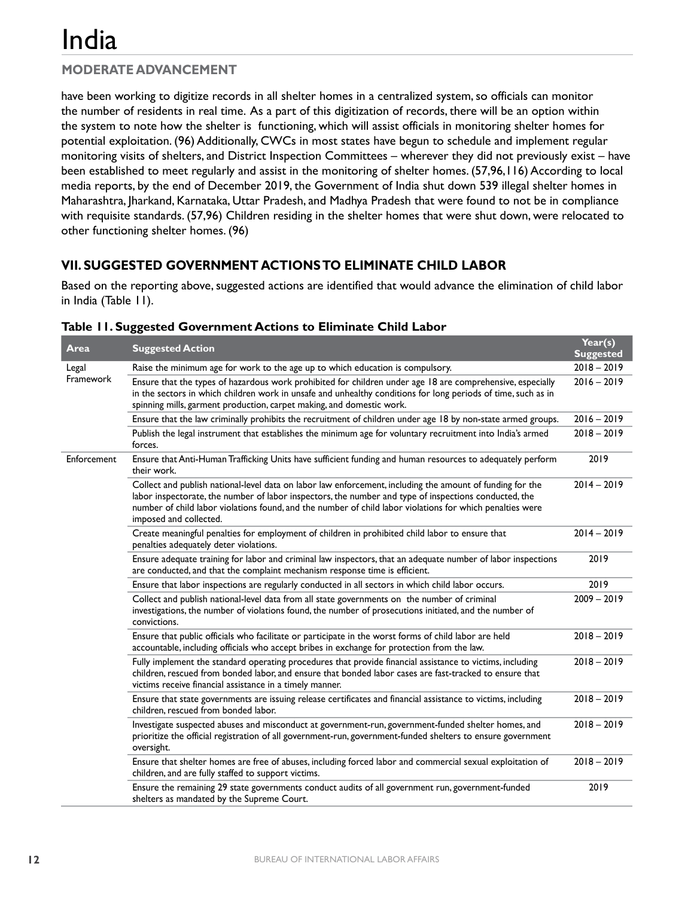## **MODERATE ADVANCEMENT**

have been working to digitize records in all shelter homes in a centralized system, so officials can monitor the number of residents in real time. As a part of this digitization of records, there will be an option within the system to note how the shelter is functioning, which will assist officials in monitoring shelter homes for potential exploitation. (96) Additionally, CWCs in most states have begun to schedule and implement regular monitoring visits of shelters, and District Inspection Committees – wherever they did not previously exist – have been established to meet regularly and assist in the monitoring of shelter homes. (57,96,116) According to local media reports, by the end of December 2019, the Government of India shut down 539 illegal shelter homes in Maharashtra, Jharkand, Karnataka, Uttar Pradesh, and Madhya Pradesh that were found to not be in compliance with requisite standards. (57,96) Children residing in the shelter homes that were shut down, were relocated to other functioning shelter homes. (96)

#### **VII. SUGGESTED GOVERNMENT ACTIONS TO ELIMINATE CHILD LABOR**

Based on the reporting above, suggested actions are identified that would advance the elimination of child labor in India (Table 11).

| Area             | <b>Suggested Action</b>                                                                                                                                                                                                                                                                                                                                   | Year(s)<br><b>Suggested</b> |
|------------------|-----------------------------------------------------------------------------------------------------------------------------------------------------------------------------------------------------------------------------------------------------------------------------------------------------------------------------------------------------------|-----------------------------|
| Legal            | Raise the minimum age for work to the age up to which education is compulsory.                                                                                                                                                                                                                                                                            | $2018 - 2019$               |
| <b>Framework</b> | Ensure that the types of hazardous work prohibited for children under age 18 are comprehensive, especially<br>in the sectors in which children work in unsafe and unhealthy conditions for long periods of time, such as in<br>spinning mills, garment production, carpet making, and domestic work.                                                      | $2016 - 2019$               |
|                  | Ensure that the law criminally prohibits the recruitment of children under age 18 by non-state armed groups.                                                                                                                                                                                                                                              | $2016 - 2019$               |
|                  | Publish the legal instrument that establishes the minimum age for voluntary recruitment into India's armed<br>forces.                                                                                                                                                                                                                                     | $2018 - 2019$               |
| Enforcement      | Ensure that Anti-Human Trafficking Units have sufficient funding and human resources to adequately perform<br>their work.                                                                                                                                                                                                                                 | 2019                        |
|                  | Collect and publish national-level data on labor law enforcement, including the amount of funding for the<br>labor inspectorate, the number of labor inspectors, the number and type of inspections conducted, the<br>number of child labor violations found, and the number of child labor violations for which penalties were<br>imposed and collected. | $2014 - 2019$               |
|                  | Create meaningful penalties for employment of children in prohibited child labor to ensure that<br>penalties adequately deter violations.                                                                                                                                                                                                                 | $2014 - 2019$               |
|                  | Ensure adequate training for labor and criminal law inspectors, that an adequate number of labor inspections<br>are conducted, and that the complaint mechanism response time is efficient.                                                                                                                                                               | 2019                        |
|                  | Ensure that labor inspections are regularly conducted in all sectors in which child labor occurs.                                                                                                                                                                                                                                                         | 2019                        |
|                  | Collect and publish national-level data from all state governments on the number of criminal<br>investigations, the number of violations found, the number of prosecutions initiated, and the number of<br>convictions.                                                                                                                                   | $2009 - 2019$               |
|                  | Ensure that public officials who facilitate or participate in the worst forms of child labor are held<br>accountable, including officials who accept bribes in exchange for protection from the law.                                                                                                                                                      | $2018 - 2019$               |
|                  | Fully implement the standard operating procedures that provide financial assistance to victims, including<br>children, rescued from bonded labor, and ensure that bonded labor cases are fast-tracked to ensure that<br>victims receive financial assistance in a timely manner.                                                                          | $2018 - 2019$               |
|                  | Ensure that state governments are issuing release certificates and financial assistance to victims, including<br>children, rescued from bonded labor.                                                                                                                                                                                                     | $2018 - 2019$               |
|                  | Investigate suspected abuses and misconduct at government-run, government-funded shelter homes, and<br>prioritize the official registration of all government-run, government-funded shelters to ensure government<br>oversight.                                                                                                                          | $2018 - 2019$               |
|                  | Ensure that shelter homes are free of abuses, including forced labor and commercial sexual exploitation of<br>children, and are fully staffed to support victims.                                                                                                                                                                                         | $2018 - 2019$               |
|                  | Ensure the remaining 29 state governments conduct audits of all government run, government-funded<br>shelters as mandated by the Supreme Court.                                                                                                                                                                                                           | 2019                        |

|  |  | Table 11. Suggested Government Actions to Eliminate Child Labor |  |  |  |  |
|--|--|-----------------------------------------------------------------|--|--|--|--|
|--|--|-----------------------------------------------------------------|--|--|--|--|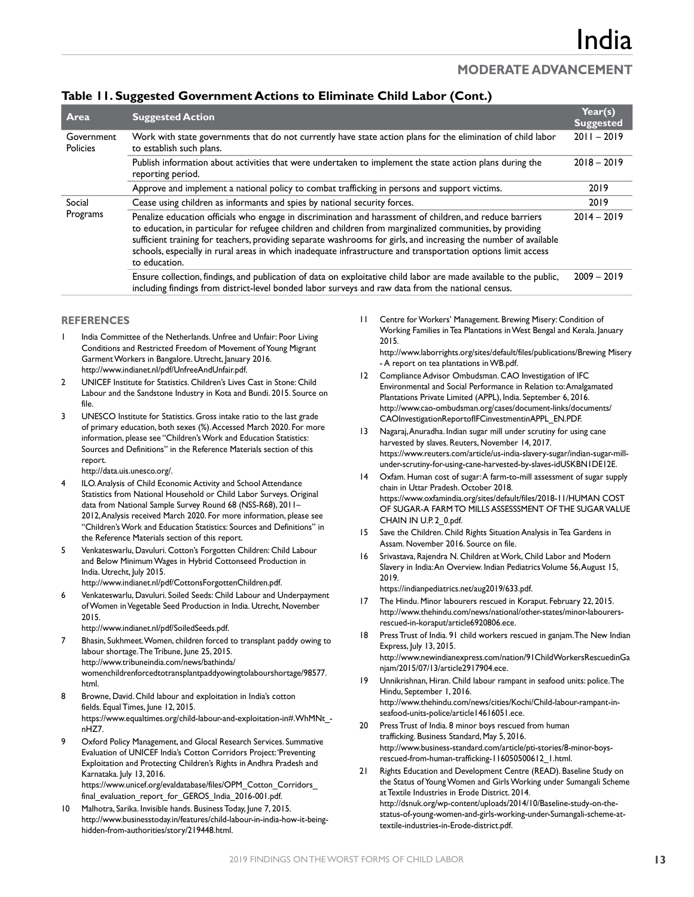#### **Table 11. Suggested Government Actions to Eliminate Child Labor (Cont.)**

| Area                          | <b>Suggested Action</b>                                                                                                                                                                                                                                                                                                                                                                                                                                                      | Year(s)<br><b>Suggested</b> |
|-------------------------------|------------------------------------------------------------------------------------------------------------------------------------------------------------------------------------------------------------------------------------------------------------------------------------------------------------------------------------------------------------------------------------------------------------------------------------------------------------------------------|-----------------------------|
| Government<br><b>Policies</b> | Work with state governments that do not currently have state action plans for the elimination of child labor<br>to establish such plans.                                                                                                                                                                                                                                                                                                                                     | $2011 - 2019$               |
|                               | Publish information about activities that were undertaken to implement the state action plans during the<br>reporting period.                                                                                                                                                                                                                                                                                                                                                | $2018 - 2019$               |
|                               | Approve and implement a national policy to combat trafficking in persons and support victims.                                                                                                                                                                                                                                                                                                                                                                                | 2019                        |
| Social<br>Programs            | Cease using children as informants and spies by national security forces.                                                                                                                                                                                                                                                                                                                                                                                                    |                             |
|                               | Penalize education officials who engage in discrimination and harassment of children, and reduce barriers<br>to education, in particular for refugee children and children from marginalized communities, by providing<br>sufficient training for teachers, providing separate washrooms for girls, and increasing the number of available<br>schools, especially in rural areas in which inadequate infrastructure and transportation options limit access<br>to education. |                             |
|                               | Ensure collection, findings, and publication of data on exploitative child labor are made available to the public,<br>including findings from district-level bonded labor surveys and raw data from the national census.                                                                                                                                                                                                                                                     | $2009 - 2019$               |

#### **REFERENCES**

- India Committee of the Netherlands. Unfree and Unfair: Poor Living Conditions and Restricted Freedom of Movement of Young Migrant Garment Workers in Bangalore. Utrecht, January 2016. http://www.indianet.nl/pdf/UnfreeAndUnfair.pdf.
- 2 UNICEF Institute for Statistics. Children's Lives Cast in Stone: Child Labour and the Sandstone Industry in Kota and Bundi. 2015. Source on file.
- 3 UNESCO Institute for Statistics. Gross intake ratio to the last grade of primary education, both sexes (%).Accessed March 2020. For more information, please see "Children's Work and Education Statistics: Sources and Definitions" in the Reference Materials section of this report.

http://data.uis.unesco.org/.

- ILO. Analysis of Child Economic Activity and School Attendance Statistics from National Household or Child Labor Surveys. Original data from National Sample Survey Round 68 (NSS-R68), 2011– 2012,Analysis received March 2020. For more information, please see "Children's Work and Education Statistics: Sources and Definitions" in the Reference Materials section of this report.
- 5 Venkateswarlu, Davuluri. Cotton's Forgotten Children: Child Labour and Below Minimum Wages in Hybrid Cottonseed Production in India. Utrecht, July 2015.

http://www.indianet.nl/pdf/CottonsForgottenChildren.pdf.

6 Venkateswarlu, Davuluri. Soiled Seeds: Child Labour and Underpayment of Women in Vegetable Seed Production in India. Utrecht, November 2015.

http://www.indianet.nl/pdf/SoiledSeeds.pdf.

7 Bhasin, Sukhmeet.Women, children forced to transplant paddy owing to labour shortage. The Tribune, June 25, 2015. http://www.tribuneindia.com/news/bathinda/ womenchildrenforcedtotransplantpaddyowingtolabourshortage/98577. html.

- 8 Browne, David. Child labour and exploitation in India's cotton fields. Equal Times, June 12, 2015. https://www.equaltimes.org/child-labour-and-exploitation-in#.WhMNt\_ nHZ7.
- Oxford Policy Management, and Glocal Research Services. Summative Evaluation of UNICEF India's Cotton Corridors Project: 'Preventing Exploitation and Protecting Children's Rights in Andhra Pradesh and Karnataka. July 13, 2016.

https://www.unicef.org/evaldatabase/files/OPM\_Cotton\_Corridors\_ final\_evaluation\_report\_for\_GEROS\_India\_2016-001.pdf.

10 Malhotra, Sarika. Invisible hands. Business Today, June 7, 2015. http://www.businesstoday.in/features/child-labour-in-india-how-it-beinghidden-from-authorities/story/219448.html.

11 Centre for Workers' Management. Brewing Misery: Condition of Working Families in Tea Plantations in West Bengal and Kerala. January 2015.

http://www.laborrights.org/sites/default/files/publications/Brewing Misery - A report on tea plantations in WB.pdf.

- 12 Compliance Advisor Ombudsman. CAO Investigation of IFC Environmental and Social Performance in Relation to: Amalgamated Plantations Private Limited (APPL), India. September 6, 2016. http://www.cao-ombudsman.org/cases/document-links/documents/ CAOInvestigationReportofIFCinvestmentinAPPL\_EN.PDF.
- 13 Nagaraj, Anuradha. Indian sugar mill under scrutiny for using cane harvested by slaves. Reuters, November 14, 2017. https://www.reuters.com/article/us-india-slavery-sugar/indian-sugar-millunder-scrutiny-for-using-cane-harvested-by-slaves-idUSKBN1DE12E.
- 14 Oxfam. Human cost of sugar: A farm-to-mill assessment of sugar supply chain in Uttar Pradesh. October 2018. https://www.oxfamindia.org/sites/default/files/2018-11/HUMAN COST OF SUGAR-A FARM TO MILLS ASSESSSMENT OF THE SUGAR VALUE CHAIN IN U.P. 2 0.pdf.
- 15 Save the Children. Child Rights Situation Analysis in Tea Gardens in Assam. November 2016. Source on file.
- Srivastava, Rajendra N. Children at Work, Child Labor and Modern Slavery in India: An Overview. Indian Pediatrics Volume 56,August 15, 2019.

https://indianpediatrics.net/aug2019/633.pdf. 17 The Hindu. Minor labourers rescued in Koraput. February 22, 2015. http://www.thehindu.com/news/national/other-states/minor-labourers-

- rescued-in-koraput/article6920806.ece. 18 Press Trust of India. 91 child workers rescued in ganjam.The New Indian Express, July 13, 2015. http://www.newindianexpress.com/nation/91ChildWorkersRescuedinGa njam/2015/07/13/article2917904.ece.
- 19 Unnikrishnan, Hiran. Child labour rampant in seafood units: police.The Hindu, September 1, 2016. http://www.thehindu.com/news/cities/Kochi/Child-labour-rampant-inseafood-units-police/article14616051.ece.
- 20 Press Trust of India. 8 minor boys rescued from human trafficking. Business Standard, May 5, 2016. http://www.business-standard.com/article/pti-stories/8-minor-boysrescued-from-human-trafficking-116050500612\_1.html.
- Rights Education and Development Centre (READ). Baseline Study on the Status of Young Women and Girls Working under Sumangali Scheme at Textile Industries in Erode District. 2014. http://dsnuk.org/wp-content/uploads/2014/10/Baseline-study-on-thestatus-of-young-women-and-girls-working-under-Sumangali-scheme-attextile-industries-in-Erode-district.pdf.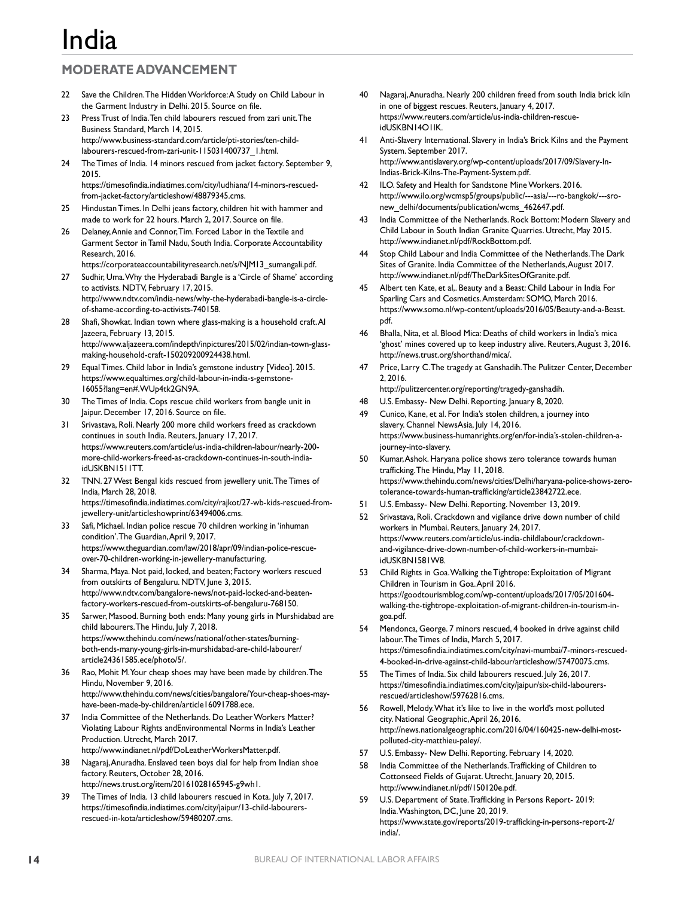## **MODERATE ADVANCEMENT**

- 22 Save the Children. The Hidden Workforce: A Study on Child Labour in the Garment Industry in Delhi. 2015. Source on file.
- 23 Press Trust of India.Ten child labourers rescued from zari unit.The Business Standard, March 14, 2015. http://www.business-standard.com/article/pti-stories/ten-childlabourers-rescued-from-zari-unit-115031400737\_1.html.
- 24 The Times of India. 14 minors rescued from jacket factory. September 9, 2015. https://timesofindia.indiatimes.com/city/ludhiana/14-minors-rescued-
- from-jacket-factory/articleshow/48879345.cms. 25 Hindustan Times. In Delhi jeans factory, children hit with hammer and
- made to work for 22 hours. March 2, 2017. Source on file. 26 Delaney, Annie and Connor, Tim. Forced Labor in the Textile and Garment Sector in Tamil Nadu, South India. Corporate Accountability Research, 2016.

https://corporateaccountabilityresearch.net/s/NJM13\_sumangali.pdf.

- 27 Sudhir, Uma.Why the Hyderabadi Bangle is a 'Circle of Shame' according to activists. NDTV, February 17, 2015. http://www.ndtv.com/india-news/why-the-hyderabadi-bangle-is-a-circleof-shame-according-to-activists-740158.
- 28 Shafi, Showkat. Indian town where glass-making is a household craft.Al Jazeera, February 13, 2015. http://www.aljazeera.com/indepth/inpictures/2015/02/indian-town-glassmaking-household-craft-150209200924438.html.
- 29 Equal Times. Child labor in India's gemstone industry [Video]. 2015. https://www.equaltimes.org/child-labour-in-india-s-gemstone-16055?lang=en#.WUp4tk2GN9A.
- 30 The Times of India. Cops rescue child workers from bangle unit in Jaipur. December 17, 2016. Source on file.
- 31 Srivastava, Roli. Nearly 200 more child workers freed as crackdown continues in south India. Reuters, January 17, 2017. https://www.reuters.com/article/us-india-children-labour/nearly-200 more-child-workers-freed-as-crackdown-continues-in-south-indiaidUSKBN1511TT.
- 32 TNN. 27 West Bengal kids rescued from jewellery unit.The Times of India, March 28, 2018. https://timesofindia.indiatimes.com/city/rajkot/27-wb-kids-rescued-fromjewellery-unit/articleshowprint/63494006.cms.
- 33 Safi, Michael. Indian police rescue 70 children working in 'inhuman condition'.The Guardian,April 9, 2017. https://www.theguardian.com/law/2018/apr/09/indian-police-rescueover-70-children-working-in-jewellery-manufacturing.
- 34 Sharma, Maya. Not paid, locked, and beaten; Factory workers rescued from outskirts of Bengaluru. NDTV, June 3, 2015. http://www.ndtv.com/bangalore-news/not-paid-locked-and-beatenfactory-workers-rescued-from-outskirts-of-bengaluru-768150.
- 35 Sarwer, Masood. Burning both ends: Many young girls in Murshidabad are child labourers.The Hindu, July 7, 2018. https://www.thehindu.com/news/national/other-states/burningboth-ends-many-young-girls-in-murshidabad-are-child-labourer/ article24361585.ece/photo/5/.
- 36 Rao, Mohit M.Your cheap shoes may have been made by children.The Hindu, November 9, 2016. http://www.thehindu.com/news/cities/bangalore/Your-cheap-shoes-mayhave-been-made-by-children/article16091788.ece.
- 37 India Committee of the Netherlands. Do Leather Workers Matter? Violating Labour Rights andEnvironmental Norms in India's Leather Production. Utrecht, March 2017. http://www.indianet.nl/pdf/DoLeatherWorkersMatter.pdf.
- Nagaraj, Anuradha. Enslaved teen boys dial for help from Indian shoe factory. Reuters, October 28, 2016. http://news.trust.org/item/20161028165945-g9wh1.
- 39 The Times of India. 13 child labourers rescued in Kota. July 7, 2017. https://timesofindia.indiatimes.com/city/jaipur/13-child-labourersrescued-in-kota/articleshow/59480207.cms.
- 40 Nagaraj, Anuradha. Nearly 200 children freed from south India brick kiln in one of biggest rescues. Reuters, January 4, 2017. https://www.reuters.com/article/us-india-children-rescueidUSKBN14O1IK.
- 41 Anti-Slavery International. Slavery in India's Brick Kilns and the Payment System. September 2017. http://www.antislavery.org/wp-content/uploads/2017/09/Slavery-In-Indias-Brick-Kilns-The-Payment-System.pdf.
- ILO. Safety and Health for Sandstone Mine Workers. 2016. http://www.ilo.org/wcmsp5/groups/public/---asia/---ro-bangkok/---sronew\_delhi/documents/publication/wcms\_462647.pdf.
- 43 India Committee of the Netherlands. Rock Bottom: Modern Slavery and Child Labour in South Indian Granite Quarries. Utrecht, May 2015. http://www.indianet.nl/pdf/RockBottom.pdf.
- 44 Stop Child Labour and India Committee of the Netherlands.The Dark Sites of Granite. India Committee of the Netherlands,August 2017. http://www.indianet.nl/pdf/TheDarkSitesOfGranite.pdf.
- 45 Albert ten Kate, et al,. Beauty and a Beast: Child Labour in India For Sparling Cars and Cosmetics.Amsterdam: SOMO, March 2016. https://www.somo.nl/wp-content/uploads/2016/05/Beauty-and-a-Beast. pdf.
- 46 Bhalla, Nita, et al. Blood Mica: Deaths of child workers in India's mica 'ghost' mines covered up to keep industry alive. Reuters,August 3, 2016. http://news.trust.org/shorthand/mica/.
- Price, Larry C. The tragedy at Ganshadih. The Pulitzer Center, December 2, 2016.
- http://pulitzercenter.org/reporting/tragedy-ganshadih.
- 48 U.S. Embassy- New Delhi. Reporting. January 8, 2020.
- 49 Cunico, Kane, et al. For India's stolen children, a journey into slavery. Channel NewsAsia, July 14, 2016. https://www.business-humanrights.org/en/for-india's-stolen-children-ajourney-into-slavery.
- 50 Kumar, Ashok. Haryana police shows zero tolerance towards human trafficking.The Hindu, May 11, 2018. https://www.thehindu.com/news/cities/Delhi/haryana-police-shows-zerotolerance-towards-human-trafficking/article23842722.ece.
- 51 U.S. Embassy- New Delhi. Reporting. November 13, 2019.
- Srivastava, Roli. Crackdown and vigilance drive down number of child workers in Mumbai. Reuters, January 24, 2017. https://www.reuters.com/article/us-india-childlabour/crackdownand-vigilance-drive-down-number-of-child-workers-in-mumbaiidUSKBN1581W8.
- 53 Child Rights in Goa.Walking the Tightrope: Exploitation of Migrant Children in Tourism in Goa.April 2016. https://goodtourismblog.com/wp-content/uploads/2017/05/201604 walking-the-tightrope-exploitation-of-migrant-children-in-tourism-ingoa.pdf.
- 54 Mendonca, George. 7 minors rescued, 4 booked in drive against child labour.The Times of India, March 5, 2017. https://timesofindia.indiatimes.com/city/navi-mumbai/7-minors-rescued-4-booked-in-drive-against-child-labour/articleshow/57470075.cms.
- 55 The Times of India. Six child labourers rescued. July 26, 2017. https://timesofindia.indiatimes.com/city/jaipur/six-child-labourersrescued/articleshow/59762816.cms.
- 56 Rowell, Melody.What it's like to live in the world's most polluted city. National Geographic,April 26, 2016. http://news.nationalgeographic.com/2016/04/160425-new-delhi-mostpolluted-city-matthieu-paley/.
- 57 U.S. Embassy- New Delhi. Reporting. February 14, 2020.
- 58 India Committee of the Netherlands.Trafficking of Children to Cottonseed Fields of Gujarat. Utrecht, January 20, 2015. http://www.indianet.nl/pdf/150120e.pdf.
- 59 U.S. Department of State.Trafficking in Persons Report- 2019: India.Washington, DC, June 20, 2019. https://www.state.gov/reports/2019-trafficking-in-persons-report-2/ india/.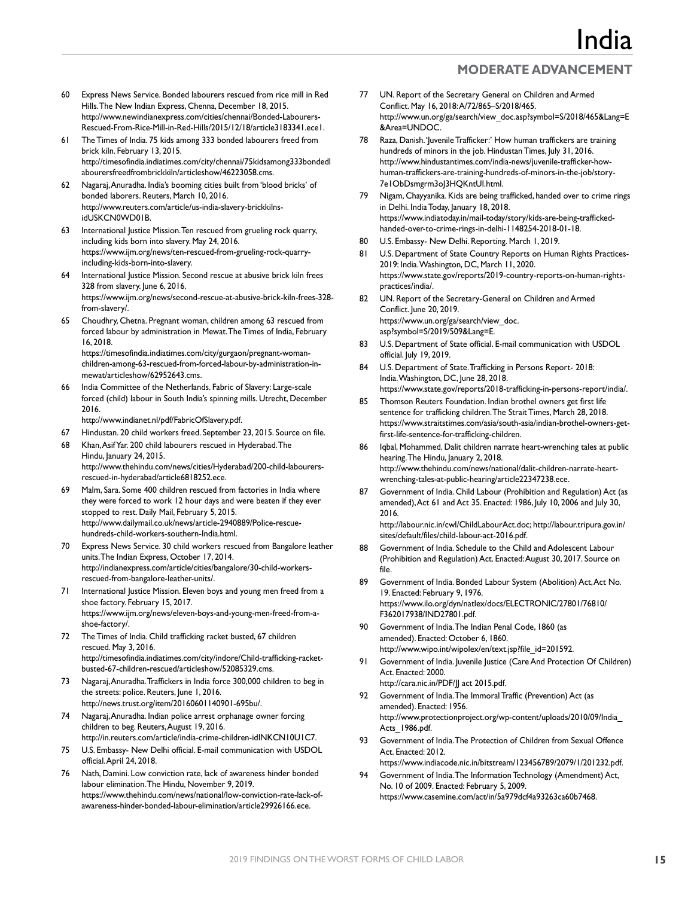- 60 Express News Service. Bonded labourers rescued from rice mill in Red Hills.The New Indian Express, Chenna, December 18, 2015. http://www.newindianexpress.com/cities/chennai/Bonded-Labourers-Rescued-From-Rice-Mill-in-Red-Hills/2015/12/18/article3183341.ece1.
- 61 The Times of India. 75 kids among 333 bonded labourers freed from brick kiln. February 13, 2015. http://timesofindia.indiatimes.com/city/chennai/75kidsamong333bondedl abourersfreedfrombrickkiln/articleshow/46223058.cms.
- 62 Nagaraj, Anuradha. India's booming cities built from 'blood bricks' of bonded laborers. Reuters, March 10, 2016. http://www.reuters.com/article/us-india-slavery-brickkilnsidUSKCN0WD01B.
- 63 International Justice Mission.Ten rescued from grueling rock quarry, including kids born into slavery. May 24, 2016. https://www.ijm.org/news/ten-rescued-from-grueling-rock-quarryincluding-kids-born-into-slavery.
- 64 International Justice Mission. Second rescue at abusive brick kiln frees 328 from slavery. June 6, 2016. https://www.ijm.org/news/second-rescue-at-abusive-brick-kiln-frees-328 from-slavery/.
- 65 Choudhry, Chetna. Pregnant woman, children among 63 rescued from forced labour by administration in Mewat.The Times of India, February 16, 2018. https://timesofindia.indiatimes.com/city/gurgaon/pregnant-woman-

children-among-63-rescued-from-forced-labour-by-administration-inmewat/articleshow/62952643.cms.

66 India Committee of the Netherlands. Fabric of Slavery: Large-scale forced (child) labour in South India's spinning mills. Utrecht, December 2016.

http://www.indianet.nl/pdf/FabricOfSlavery.pdf.

- 67 Hindustan. 20 child workers freed. September 23, 2015. Source on file.
- 68 Khan, Asif Yar. 200 child labourers rescued in Hyderabad.The Hindu, January 24, 2015. http://www.thehindu.com/news/cities/Hyderabad/200-child-labourersrescued-in-hyderabad/article6818252.ece.
- 69 Malm, Sara. Some 400 children rescued from factories in India where they were forced to work 12 hour days and were beaten if they ever stopped to rest. Daily Mail, February 5, 2015. http://www.dailymail.co.uk/news/article-2940889/Police-rescuehundreds-child-workers-southern-India.html.
- 70 Express News Service. 30 child workers rescued from Bangalore leather units.The Indian Express, October 17, 2014. http://indianexpress.com/article/cities/bangalore/30-child-workersrescued-from-bangalore-leather-units/.
- International Justice Mission. Eleven boys and young men freed from a shoe factory. February 15, 2017. https://www.ijm.org/news/eleven-boys-and-young-men-freed-from-ashoe-factory/.
- 72 The Times of India. Child trafficking racket busted, 67 children rescued. May 3, 2016. http://timesofindia.indiatimes.com/city/indore/Child-trafficking-racketbusted-67-children-rescued/articleshow/52085329.cms.
- 73 Nagaraj, Anuradha.Traffickers in India force 300,000 children to beg in the streets: police. Reuters, June 1, 2016. http://news.trust.org/item/20160601140901-695bu/.
- 74 Nagaraj, Anuradha. Indian police arrest orphanage owner forcing children to beg. Reuters,August 19, 2016. http://in.reuters.com/article/india-crime-children-idINKCN10U1C7.
- 75 U.S. Embassy- New Delhi official. E-mail communication with USDOL official.April 24, 2018.
- 76 Nath, Damini. Low conviction rate, lack of awareness hinder bonded labour elimination.The Hindu, November 9, 2019. https://www.thehindu.com/news/national/low-conviction-rate-lack-ofawareness-hinder-bonded-labour-elimination/article29926166.ece.
- 77 UN. Report of the Secretary General on Children and Armed Conflict. May 16, 2018: A/72/865–S/2018/465. http://www.un.org/ga/search/view\_doc.asp?symbol=S/2018/465&Lang=E &Area=UNDOC.
- 78 Raza, Danish.'Juvenile Trafficker:' How human traffickers are training hundreds of minors in the job. Hindustan Times, July 31, 2016. http://www.hindustantimes.com/india-news/juvenile-trafficker-howhuman-traffickers-are-training-hundreds-of-minors-in-the-job/story-7e1ObDsmgrm3oJ3HQKntUI.html.
- 79 Nigam, Chayyanika. Kids are being trafficked, handed over to crime rings in Delhi. India Today, January 18, 2018. https://www.indiatoday.in/mail-today/story/kids-are-being-traffickedhanded-over-to-crime-rings-in-delhi-1148254-2018-01-18.
- 80 U.S. Embassy- New Delhi. Reporting. March 1, 2019.
- 81 U.S. Department of State Country Reports on Human Rights Practices-2019: India.Washington, DC, March 11, 2020. https://www.state.gov/reports/2019-country-reports-on-human-rightspractices/india/.
- 82 UN. Report of the Secretary-General on Children and Armed Conflict. June 20, 2019. https://www.un.org/ga/search/view\_doc. asp?symbol=S/2019/509&Lang=E.
- 83 U.S. Department of State official. E-mail communication with USDOL official. July 19, 2019.
- 84 U.S. Department of State.Trafficking in Persons Report- 2018: India.Washington, DC, June 28, 2018. https://www.state.gov/reports/2018-trafficking-in-persons-report/india/.
- 85 Thomson Reuters Foundation. Indian brothel owners get first life sentence for trafficking children.The Strait Times, March 28, 2018. https://www.straitstimes.com/asia/south-asia/indian-brothel-owners-getfirst-life-sentence-for-trafficking-children.
- 86 Iqbal, Mohammed. Dalit children narrate heart-wrenching tales at public hearing. The Hindu, January 2, 2018. http://www.thehindu.com/news/national/dalit-children-narrate-heartwrenching-tales-at-public-hearing/article22347238.ece.
- 87 Government of India. Child Labour (Prohibition and Regulation) Act (as amended), Act 61 and Act 35. Enacted: 1986, July 10, 2006 and July 30, 2016.

http://labour.nic.in/cwl/ChildLabourAct.doc; http://labour.tripura.gov.in/ sites/default/files/child-labour-act-2016.pdf.

- Government of India. Schedule to the Child and Adolescent Labour (Prohibition and Regulation) Act. Enacted: August 30, 2017. Source on file.
- 89 Government of India. Bonded Labour System (Abolition) Act, Act No. 19. Enacted: February 9, 1976. https://www.ilo.org/dyn/natlex/docs/ELECTRONIC/27801/76810/ F362017938/IND27801.pdf.
- 90 Government of India.The Indian Penal Code, 1860 (as amended). Enacted: October 6, 1860. http://www.wipo.int/wipolex/en/text.jsp?file\_id=201592.
- Government of India. Juvenile Justice (Care And Protection Of Children) Act. Enacted: 2000.
	- http://cara.nic.in/PDF/JJ act 2015.pdf.
- 92 Government of India.The Immoral Traffic (Prevention) Act (as amended). Enacted: 1956. http://www.protectionproject.org/wp-content/uploads/2010/09/India\_ Acts\_1986.pdf.
- 93 Government of India. The Protection of Children from Sexual Offence Act. Enacted: 2012. https://www.indiacode.nic.in/bitstream/123456789/2079/1/201232.pdf.
- Government of India.The Information Technology (Amendment) Act, No. 10 of 2009. Enacted: February 5, 2009. https://www.casemine.com/act/in/5a979dcf4a93263ca60b7468.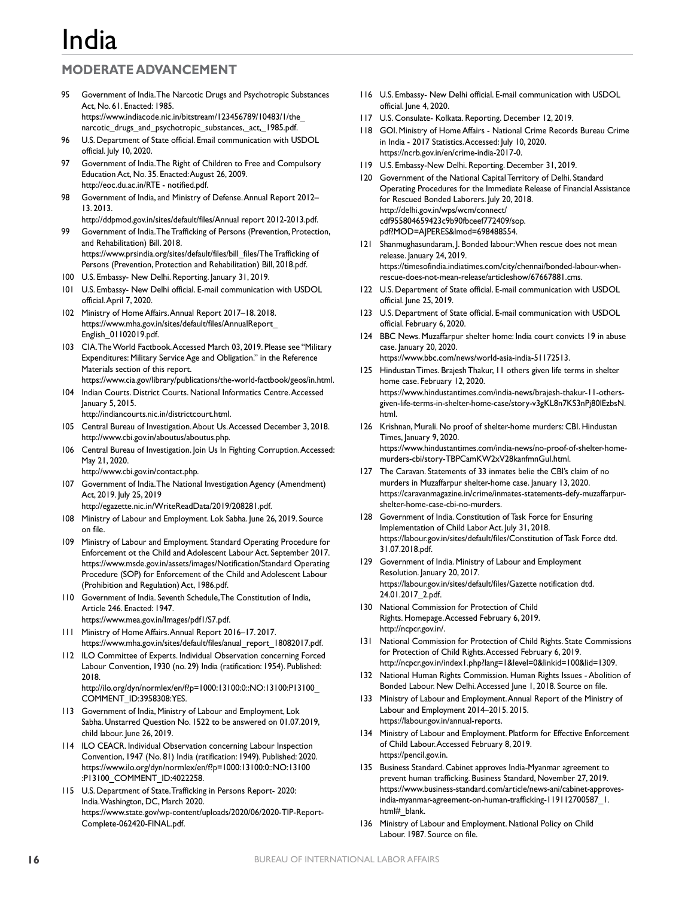# <u>India</u>

## **MODERATE ADVANCEMENT**

- 95 Government of India.The Narcotic Drugs and Psychotropic Substances Act, No. 61. Enacted: 1985. https://www.indiacode.nic.in/bitstream/123456789/10483/1/the\_ narcotic\_drugs\_and\_psychotropic\_substances,\_act,\_1985.pdf.
- 96 U.S. Department of State official. Email communication with USDOL official. July 10, 2020.
- 97 Government of India.The Right of Children to Free and Compulsory Education Act, No. 35. Enacted: August 26, 2009. http://eoc.du.ac.in/RTE - notified.pdf.
- 98 Government of India, and Ministry of Defense. Annual Report 2012-13. 2013.
- http://ddpmod.gov.in/sites/default/files/Annual report 2012-2013.pdf. 99 Government of India.The Trafficking of Persons (Prevention, Protection, and Rehabilitation) Bill. 2018. https://www.prsindia.org/sites/default/files/bill\_files/The Trafficking of
- Persons (Prevention, Protection and Rehabilitation) Bill, 2018.pdf. 100 U.S. Embassy- New Delhi. Reporting. January 31, 2019.
- 101 U.S. Embassy- New Delhi official. E-mail communication with USDOL official.April 7, 2020.
- 102 Ministry of Home Affairs.Annual Report 2017–18. 2018. https://www.mha.gov.in/sites/default/files/AnnualReport\_ English\_01102019.pdf.
- 103 CIA.The World Factbook.Accessed March 03, 2019. Please see "Military Expenditures: Military Service Age and Obligation." in the Reference Materials section of this report.
- https://www.cia.gov/library/publications/the-world-factbook/geos/in.html.
- 104 Indian Courts. District Courts. National Informatics Centre.Accessed January 5, 2015.
	- http://indiancourts.nic.in/districtcourt.html.
- 105 Central Bureau of Investigation.About Us.Accessed December 3, 2018. http://www.cbi.gov.in/aboutus/aboutus.php.
- 106 Central Bureau of Investigation. Join Us In Fighting Corruption.Accessed: May 21, 2020.
	- http://www.cbi.gov.in/contact.php.
- 107 Government of India.The National Investigation Agency (Amendment) Act, 2019. July 25, 2019
	- http://egazette.nic.in/WriteReadData/2019/208281.pdf.
- 108 Ministry of Labour and Employment. Lok Sabha. June 26, 2019. Source on file.
- 109 Ministry of Labour and Employment. Standard Operating Procedure for Enforcement ot the Child and Adolescent Labour Act. September 2017. https://www.msde.gov.in/assets/images/Notification/Standard Operating Procedure (SOP) for Enforcement of the Child and Adolescent Labour (Prohibition and Regulation) Act, 1986.pdf.
- 110 Government of India. Seventh Schedule, The Constitution of India, Article 246. Enacted: 1947.
	- https://www.mea.gov.in/Images/pdf1/S7.pdf.
- 111 Ministry of Home Affairs.Annual Report 2016–17. 2017. https://www.mha.gov.in/sites/default/files/anual\_report\_18082017.pdf.
- 112 ILO Committee of Experts. Individual Observation concerning Forced Labour Convention, 1930 (no. 29) India (ratification: 1954). Published: 2018. http://ilo.org/dyn/normlex/en/f?p=1000:13100:0::NO:13100:P13100\_
- COMMENT\_ID:3958308:YES. 113 Government of India, Ministry of Labour and Employment, Lok Sabha. Unstarred Question No. 1522 to be answered on 01.07.2019, child labour. June 26, 2019.
- 114 ILO CEACR. Individual Observation concerning Labour Inspection Convention, 1947 (No. 81) India (ratification: 1949). Published: 2020. https://www.ilo.org/dyn/normlex/en/f?p=1000:13100:0::NO:13100 :P13100\_COMMENT\_ID:4022258.
- 115 U.S. Department of State.Trafficking in Persons Report- 2020: India.Washington, DC, March 2020. https://www.state.gov/wp-content/uploads/2020/06/2020-TIP-Report-Complete-062420-FINAL.pdf.
- 116 U.S. Embassy- New Delhi official. E-mail communication with USDOL official. June 4, 2020.
- 117 U.S. Consulate- Kolkata. Reporting. December 12, 2019.
- 118 GOI. Ministry of Home Affairs National Crime Records Bureau Crime in India - 2017 Statistics.Accessed: July 10, 2020. https://ncrb.gov.in/en/crime-india-2017-0.
- 119 U.S. Embassy-New Delhi. Reporting. December 31, 2019.
- 120 Government of the National Capital Territory of Delhi. Standard Operating Procedures for the Immediate Release of Financial Assistance for Rescued Bonded Laborers. July 20, 2018. http://delhi.gov.in/wps/wcm/connect/ cdf955804659423c9b90fbceef772409/sop. pdf?MOD=AJPERES&lmod=698488554.
- 121 Shanmughasundaram, J. Bonded labour: When rescue does not mean release. January 24, 2019. https://timesofindia.indiatimes.com/city/chennai/bonded-labour-whenrescue-does-not-mean-release/articleshow/67667881.cms.
- 122 U.S. Department of State official. E-mail communication with USDOL official. June 25, 2019.
- 123 U.S. Department of State official. E-mail communication with USDOL official. February 6, 2020.
- 124 BBC News. Muzaffarpur shelter home: India court convicts 19 in abuse case. January 20, 2020. https://www.bbc.com/news/world-asia-india-51172513.
- 125 Hindustan Times. Brajesh Thakur, 11 others given life terms in shelter home case. February 12, 2020. https://www.hindustantimes.com/india-news/brajesh-thakur-11-othersgiven-life-terms-in-shelter-home-case/story-v3gKL8n7KS3nPj80lEzbsN. html.
- 126 Krishnan, Murali. No proof of shelter-home murders: CBI. Hindustan Times, January 9, 2020. https://www.hindustantimes.com/india-news/no-proof-of-shelter-homemurders-cbi/story-TBPCamKW2xV28kanfmnGuI.html.
- 127 The Caravan. Statements of 33 inmates belie the CBI's claim of no murders in Muzaffarpur shelter-home case. January 13, 2020. https://caravanmagazine.in/crime/inmates-statements-defy-muzaffarpurshelter-home-case-cbi-no-murders.
- 128 Government of India. Constitution of Task Force for Ensuring Implementation of Child Labor Act. July 31, 2018. https://labour.gov.in/sites/default/files/Constitution of Task Force dtd. 31.07.2018.pdf.
- 129 Government of India. Ministry of Labour and Employment Resolution. January 20, 2017. https://labour.gov.in/sites/default/files/Gazette notification dtd. 24.01.2017\_2.pdf.
- 130 National Commission for Protection of Child Rights. Homepage.Accessed February 6, 2019. http://ncpcr.gov.in/.
- 131 National Commission for Protection of Child Rights. State Commissions for Protection of Child Rights.Accessed February 6, 2019. http://ncpcr.gov.in/index1.php?lang=1&level=0&linkid=100&lid=1309.
- 132 National Human Rights Commission. Human Rights Issues Abolition of Bonded Labour. New Delhi.Accessed June 1, 2018. Source on file.
- 133 Ministry of Labour and Employment.Annual Report of the Ministry of Labour and Employment 2014–2015. 2015. https://labour.gov.in/annual-reports.
- 134 Ministry of Labour and Employment. Platform for Effective Enforcement of Child Labour.Accessed February 8, 2019. https://pencil.gov.in.
- 135 Business Standard. Cabinet approves India-Myanmar agreement to prevent human trafficking. Business Standard, November 27, 2019. https://www.business-standard.com/article/news-ani/cabinet-approvesindia-myanmar-agreement-on-human-trafficking-119112700587\_1. html#\_blank.
- 136 Ministry of Labour and Employment. National Policy on Child Labour. 1987. Source on file.